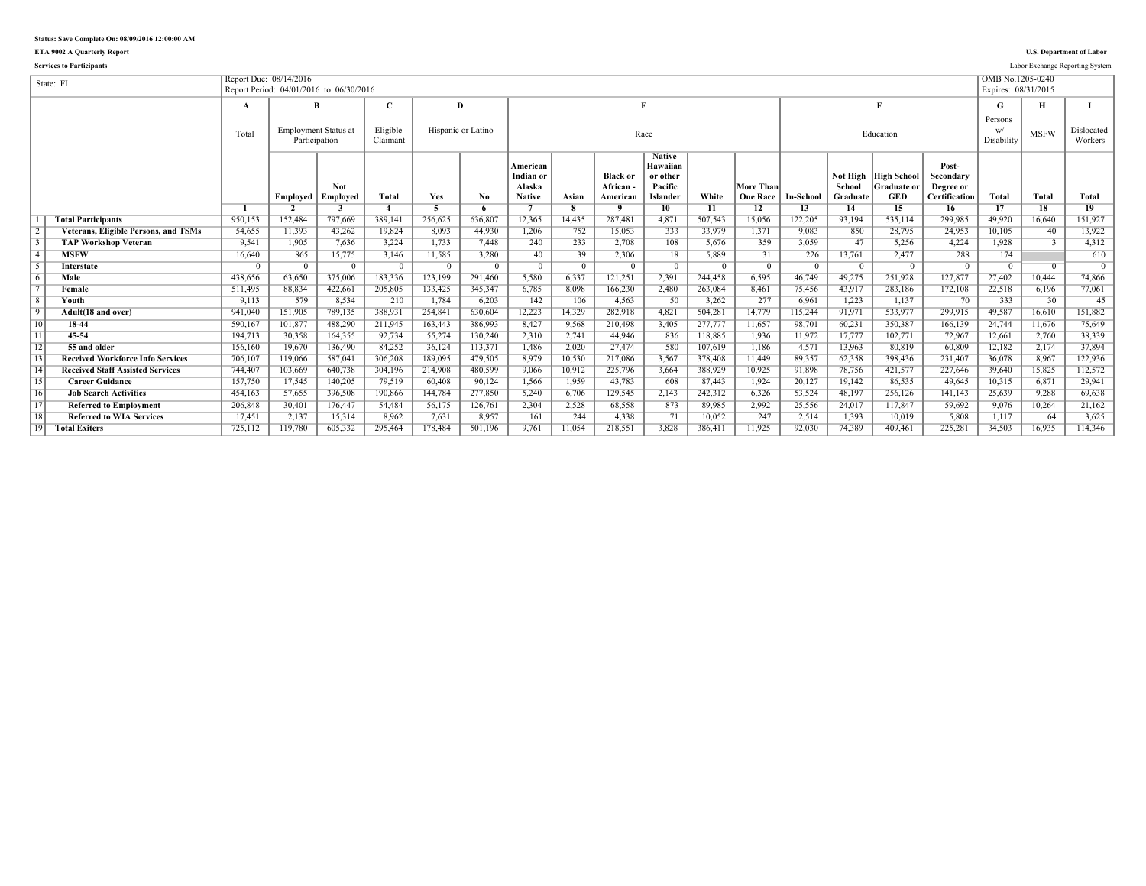**ETA 9002 A Quarterly Report U.S. Department of Labor**

|                 | <b>Services to Participants</b>             |                        |                |                                              |                      |         |                    |                                                  |                |                                         |                                                              |         |                              |            |                    |                                                          |                                                         |                     |             | Labor Exchange Reporting System |
|-----------------|---------------------------------------------|------------------------|----------------|----------------------------------------------|----------------------|---------|--------------------|--------------------------------------------------|----------------|-----------------------------------------|--------------------------------------------------------------|---------|------------------------------|------------|--------------------|----------------------------------------------------------|---------------------------------------------------------|---------------------|-------------|---------------------------------|
|                 | State: FL                                   | Report Due: 08/14/2016 |                |                                              |                      |         |                    |                                                  |                |                                         |                                                              |         |                              |            |                    |                                                          |                                                         | OMB No.1205-0240    |             |                                 |
|                 |                                             |                        |                | Report Period: 04/01/2016 to 06/30/2016      |                      |         |                    |                                                  |                |                                         |                                                              |         |                              |            |                    |                                                          |                                                         | Expires: 08/31/2015 |             |                                 |
|                 |                                             | A                      |                | B                                            |                      |         | D                  |                                                  |                |                                         | E                                                            |         |                              |            |                    | Е                                                        |                                                         | G                   | н           |                                 |
|                 |                                             |                        |                |                                              |                      |         |                    |                                                  |                |                                         |                                                              |         |                              |            |                    |                                                          |                                                         | Persons             |             |                                 |
|                 |                                             | Total                  |                | <b>Employment Status at</b><br>Participation | Eligible<br>Claimant |         | Hispanic or Latino |                                                  |                |                                         | Race                                                         |         |                              |            |                    | Education                                                |                                                         | Disability          | <b>MSFW</b> | Dislocated<br>Workers           |
|                 |                                             |                        | Employed       | Not<br>Employed                              | <b>Total</b>         | Yes     | No.                | American<br>Indian or<br>Alaska<br><b>Native</b> | Asian          | <b>Black or</b><br>African-<br>American | <b>Native</b><br>Hawaiian<br>or other<br>Pacific<br>Islander | White   | More Than<br><b>One Race</b> | In-School  | School<br>Graduate | Not High High School<br><b>Graduate or</b><br><b>GED</b> | Post-<br>Secondary<br>Degree or<br><b>Certification</b> | Total               | Total       | <b>Total</b>                    |
|                 |                                             |                        | $\overline{2}$ |                                              |                      |         | 6                  |                                                  |                |                                         | $10^{-}$                                                     | 11      | 12                           | 13         | 14                 | 15                                                       | 16                                                      | 17                  | 18          | 19                              |
|                 | <b>Total Participants</b>                   | 950,153                | 152,484        | 797.669                                      | 389.141              | 256.625 | 636.807            | 12.365                                           | 14.435         | 287.481                                 | 4,871                                                        | 507.543 | 15,056                       | 122,205    | 93.194             | 535.114                                                  | 299.985                                                 | 49.920              | 16.640      | 151,927                         |
| $\overline{2}$  | <b>Veterans, Eligible Persons, and TSMs</b> | 54,655                 | 11,393         | 43.262                                       | 19.824               | 8.093   | 44,930             | 1,206                                            | 752            | 15,053                                  | 333                                                          | 33,979  | 1,371                        | 9.083      | 850                | 28,795                                                   | 24,953                                                  | 10,105              | 40          | 13,922                          |
| $\overline{3}$  | <b>TAP Workshop Veteran</b>                 | 9,541                  | 1,905          | 7,636                                        | 3.224                | 1,733   | 7,448              | 240                                              | 233            | 2.708                                   | 108                                                          | 5.676   | 359                          | 3,059      | 47                 | 5,256                                                    | 4,224                                                   | 1.928               |             | 4,312                           |
| $\overline{4}$  | <b>MSFW</b>                                 | 16,640                 | 865            | 15,775                                       | 3.146                | 11,585  | 3,280              | 40                                               | 39             | 2.306                                   | 18                                                           | 5.889   | 31                           | 226        | 13,761             | 2.477                                                    | 288                                                     | 174                 |             | 610                             |
| $\overline{5}$  | Interstate                                  | $\Omega$               |                | $\Omega$                                     | - 0                  |         | $\overline{0}$     | $\overline{0}$                                   | $\overline{0}$ | $\Omega$                                | $\overline{0}$                                               |         |                              | $^{\circ}$ |                    |                                                          | $\Omega$                                                |                     |             | $\overline{0}$                  |
| $\overline{6}$  | Male                                        | 438.656                | 63.650         | 375.006                                      | 183.336              | 123.199 | 291.460            | 5,580                                            | 6.337          | 121.251                                 | 2.391                                                        | 244.458 | 6.595                        | 46.749     | 49.275             | 251.928                                                  | 127.877                                                 | 27.402              | 10.444      | 74,866                          |
| $\overline{7}$  | Female                                      | 511,495                | 88,834         | 422,661                                      | 205,805              | 133,425 | 345,347            | 6,785                                            | 8.098          | 166,230                                 | 2,480                                                        | 263,084 | 8.461                        | 75,456     | 43.917             | 283,186                                                  | 172,108                                                 | 22,518              | 6,196       | 77,061                          |
| $\overline{8}$  | Youth                                       | 9,113                  | 579            | 8.534                                        | 210                  | 1,784   | 6.203              | 142                                              | 106            | 4.563                                   | 50                                                           | 3.262   | 277                          | 6.961      | 1.223              | 1.137                                                    | 70                                                      | 333                 | 30          | 45                              |
| $\overline{9}$  | Adult(18 and over)                          | 941,040                | 151,905        | 789,135                                      | 388,931              | 254,841 | 630,604            | 12,223                                           | 14,329         | 282,918                                 | 4,821                                                        | 504.281 | 14,779                       | 115,244    | 91,971             | 533,977                                                  | 299,915                                                 | 49.587              | 16,610      | 151,882                         |
| 10              | 18-44                                       | 590,167                | 101,877        | 488,290                                      | 211,945              | 163,443 | 386,993            | 8,427                                            | 9,568          | 210,498                                 | 3,405                                                        | 277,777 | 11,657                       | 98,701     | 60,231             | 350,387                                                  | 166,139                                                 | 24,744              | 11,676      | 75,649                          |
| $\overline{11}$ | 45-54                                       | 194,713                | 30,358         | 164,355                                      | 92,734               | 55,274  | 130,240            | 2,310                                            | 2,741          | 44.946                                  | 836                                                          | 118,885 | 1,936                        | 11,972     | 17,777             | 102,771                                                  | 72,967                                                  | 12,661              | 2,760       | 38,339                          |
| $\overline{12}$ | 55 and older                                | 156,160                | 19,670         | 136,490                                      | 84.252               | 36,124  | 113,371            | 1,486                                            | 2,020          | 27.474                                  | 580                                                          | 107.619 | 1,186                        | 4,571      | 13.963             | 80.819                                                   | 60.809                                                  | 12,182              | 2,174       | 37,894                          |
| $\sqrt{13}$     | <b>Received Workforce Info Services</b>     | 706,107                | 119.066        | 587.041                                      | 306.208              | 189.095 | 479.505            | 8.979                                            | 10,530         | 217.086                                 | 3,567                                                        | 378,408 | 11.449                       | 89.357     | 62.358             | 398.436                                                  | 231.407                                                 | 36.078              | 8.967       | 122,936                         |
| $\overline{14}$ | <b>Received Staff Assisted Services</b>     | 744.407                | 103,669        | 640,738                                      | 304,196              | 214,908 | 480.599            | 9.066                                            | 10,912         | 225,796                                 | 3.664                                                        | 388,929 | 10,925                       | 91.898     | 78,756             | 421.577                                                  | 227.646                                                 | 39.640              | 15,825      | 112,572                         |
| $\overline{15}$ | <b>Career Guidance</b>                      | 157,750                | 17,545         | 140,205                                      | 79.519               | 60,408  | 90,124             | 1,566                                            | 1,959          | 43,783                                  | 608                                                          | 87,443  | 1,924                        | 20,127     | 19,142             | 86,535                                                   | 49.645                                                  | 10,315              | 6,871       | 29,941                          |
| 16              | <b>Job Search Activities</b>                | 454,163                | 57,655         | 396.508                                      | 190.866              | 144,784 | 277.850            | 5.240                                            | 6.706          | 129.545                                 | 2,143                                                        | 242,312 | 6.326                        | 53,524     | 48.197             | 256.126                                                  | 141,143                                                 | 25,639              | 9.288       | 69,638                          |
| $\overline{17}$ | <b>Referred to Employment</b>               | 206.848                | 30,401         | 176,447                                      | 54.484               | 56,175  | 126,761            | 2.304                                            | 2,528          | 68,558                                  | 873                                                          | 89.985  | 2.992                        | 25,556     | 24.017             | 117.847                                                  | 59.692                                                  | 9.076               | 10,264      | 21,162                          |
| 18              | <b>Referred to WIA Services</b>             | 17,451                 | 2,137          | 15,314                                       | 8.962                | 7,631   | 8.957              | 161                                              | 244            | 4.338                                   | 71                                                           | 10,052  | 247                          | 2,514      | 1.393              | 10,019                                                   | 5,808                                                   | 1.117               | 64          | 3,625                           |
| <sup>19</sup>   | <b>Total Exiters</b>                        | 725,112                | 119.780        | 605.332                                      | 295.464              | 178.484 | 501.196            | 9.761                                            | 11.054         | 218.551                                 | 3.828                                                        | 386.411 | 11.925                       | 92.030     | 74.389             | 409.461                                                  | 225.281                                                 | 34.503              | 16.935      | 114.346                         |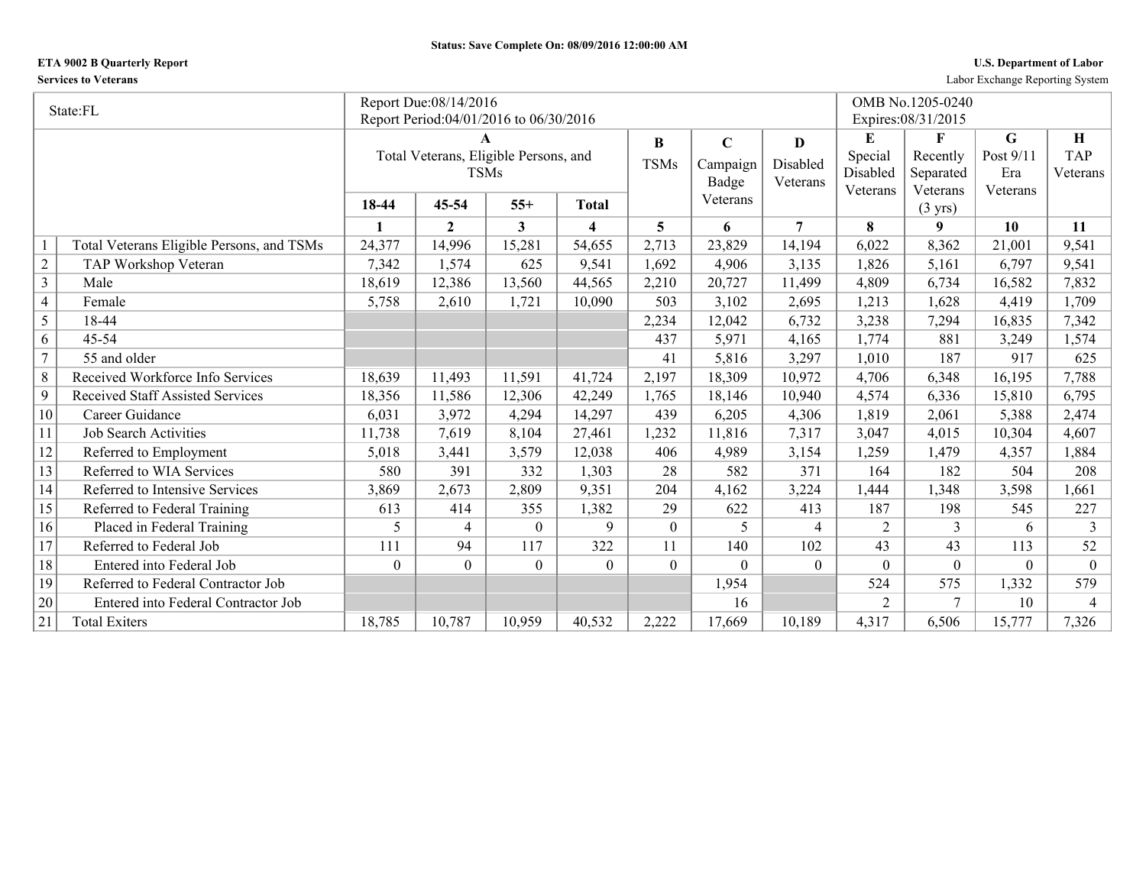## **ETA 9002 B Quarterly Report U.S. Department of Labor**

**Services to Veterans** Labor Exchange Reporting System

|                | State:FL                                  |                  | Report Due:08/14/2016                  |                  |                         |                |             |                |                | OMB No.1205-0240              |           |                |
|----------------|-------------------------------------------|------------------|----------------------------------------|------------------|-------------------------|----------------|-------------|----------------|----------------|-------------------------------|-----------|----------------|
|                |                                           |                  | Report Period:04/01/2016 to 06/30/2016 |                  |                         |                |             |                |                | Expires: 08/31/2015           |           |                |
|                |                                           |                  | A                                      |                  |                         | $\bf{B}$       | $\mathbf C$ | D              | E              | F                             | G         | Η              |
|                |                                           |                  | Total Veterans, Eligible Persons, and  |                  |                         | <b>TSMs</b>    | Campaign    | Disabled       | Special        | Recently                      | Post 9/11 | <b>TAP</b>     |
|                |                                           |                  | <b>TSMs</b>                            |                  |                         |                | Badge       | Veterans       | Disabled       | Separated                     | Era       | Veterans       |
|                |                                           | 18-44            | 45-54                                  | $55+$            | Total                   |                | Veterans    |                | Veterans       | Veterans<br>$(3 \text{ yrs})$ | Veterans  |                |
|                |                                           | 1                | $\mathbf{2}$                           | 3                | $\overline{\mathbf{4}}$ | 5              | 6           | $\overline{7}$ | 8              | 9                             | 10        | 11             |
|                | Total Veterans Eligible Persons, and TSMs | 24,377           | 14,996                                 | 15,281           | 54,655                  | 2,713          | 23,829      | 14,194         | 6,022          | 8,362                         | 21,001    | 9,541          |
| $\sqrt{2}$     | TAP Workshop Veteran                      | 7,342            | 1,574                                  | 625              | 9,541                   | 1,692          | 4,906       | 3,135          | 1,826          | 5,161                         | 6,797     | 9,541          |
| $\overline{3}$ | Male                                      | 18,619           | 12,386                                 | 13,560           | 44,565                  | 2,210          | 20,727      | 11,499         | 4,809          | 6,734                         | 16,582    | 7,832          |
| $\overline{4}$ | Female                                    | 5,758            | 2,610                                  | 1,721            | 10,090                  | 503            | 3,102       | 2,695          | 1,213          | 1,628                         | 4,419     | 1,709          |
| 5              | 18-44                                     |                  |                                        |                  |                         | 2,234          | 12,042      | 6,732          | 3,238          | 7,294                         | 16,835    | 7,342          |
| 6              | $45 - 54$                                 |                  |                                        |                  |                         | 437            | 5,971       | 4,165          | 1,774          | 881                           | 3,249     | 1,574          |
| $\tau$         | 55 and older                              |                  |                                        |                  |                         | 41             | 5,816       | 3,297          | 1,010          | 187                           | 917       | 625            |
| 8              | Received Workforce Info Services          | 18,639           | 11,493                                 | 11,591           | 41,724                  | 2,197          | 18,309      | 10,972         | 4,706          | 6,348                         | 16,195    | 7,788          |
| 9              | <b>Received Staff Assisted Services</b>   | 18,356           | 11,586                                 | 12,306           | 42,249                  | 1,765          | 18,146      | 10,940         | 4,574          | 6,336                         | 15,810    | 6,795          |
| 10             | Career Guidance                           | 6,031            | 3,972                                  | 4,294            | 14,297                  | 439            | 6,205       | 4,306          | 1,819          | 2,061                         | 5,388     | 2,474          |
| 11             | <b>Job Search Activities</b>              | 11,738           | 7,619                                  | 8,104            | 27,461                  | 1,232          | 11,816      | 7,317          | 3,047          | 4,015                         | 10,304    | 4,607          |
| 12             | Referred to Employment                    | 5,018            | 3,441                                  | 3,579            | 12,038                  | 406            | 4,989       | 3,154          | 1,259          | 1,479                         | 4,357     | 1,884          |
| 13             | Referred to WIA Services                  | 580              | 391                                    | 332              | 1,303                   | 28             | 582         | 371            | 164            | 182                           | 504       | 208            |
| 14             | Referred to Intensive Services            | 3,869            | 2,673                                  | 2,809            | 9,351                   | 204            | 4,162       | 3,224          | 1,444          | 1,348                         | 3,598     | 1,661          |
| 15             | Referred to Federal Training              | 613              | 414                                    | 355              | 1,382                   | 29             | 622         | 413            | 187            | 198                           | 545       | 227            |
| 16             | Placed in Federal Training                | 5                | 4                                      | $\theta$         | 9                       | $\overline{0}$ | 5           | 4              | 2              | 3                             | 6         | 3              |
| 17             | Referred to Federal Job                   | 111              | 94                                     | 117              | 322                     | 11             | 140         | 102            | 43             | 43                            | 113       | 52             |
| 18             | Entered into Federal Job                  | $\boldsymbol{0}$ | $\overline{0}$                         | $\boldsymbol{0}$ | $\mathbf{0}$            | $\overline{0}$ | $\Omega$    | $\overline{0}$ | $\Omega$       | $\theta$                      | $\theta$  | $\mathbf{0}$   |
| 19             | Referred to Federal Contractor Job        |                  |                                        |                  |                         |                | 1,954       |                | 524            | 575                           | 1,332     | 579            |
| 20             | Entered into Federal Contractor Job       |                  |                                        |                  |                         |                | 16          |                | $\overline{2}$ | 7                             | 10        | $\overline{4}$ |
| 21             | <b>Total Exiters</b>                      | 18,785           | 10,787                                 | 10,959           | 40,532                  | 2,222          | 17,669      | 10,189         | 4,317          | 6,506                         | 15,777    | 7,326          |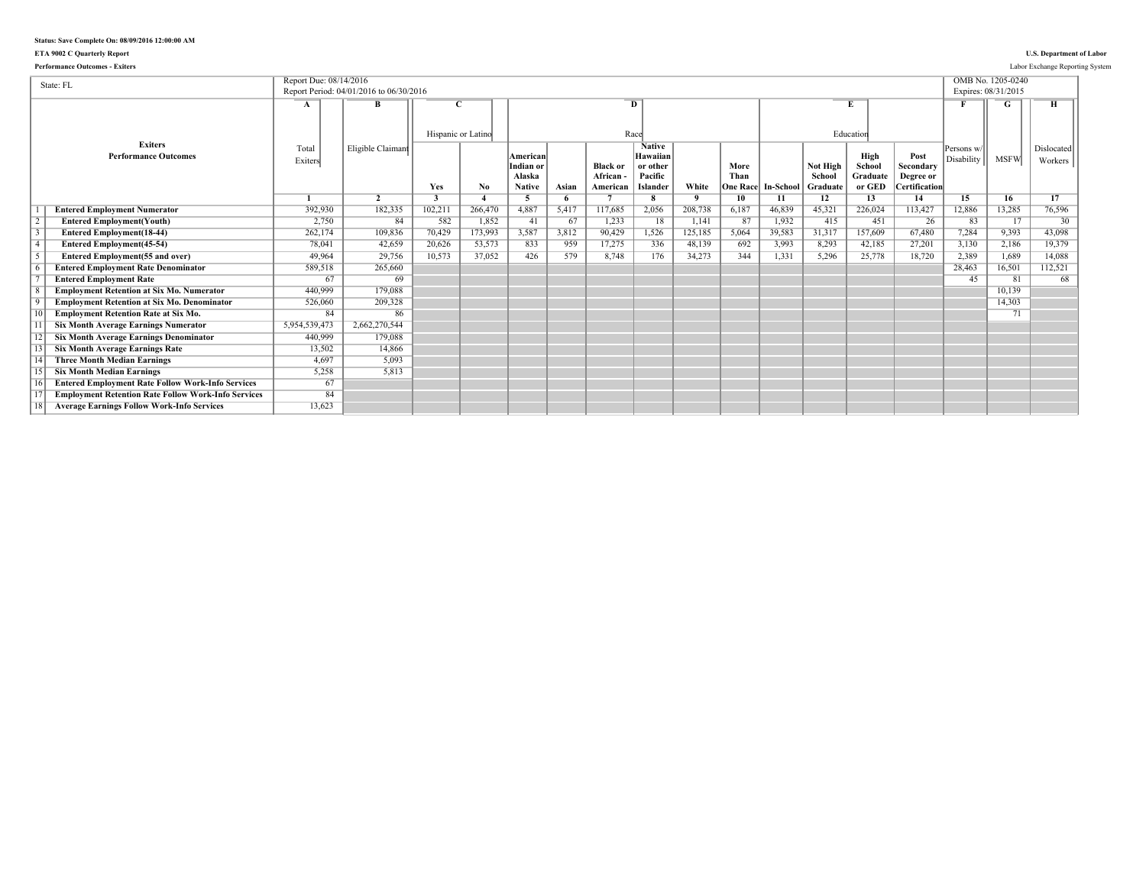### **ETA 9002 C Quarterly Report U.S. Department of Labor**

| <b>Performance Outcomes - Exiters</b>                      |                        |                                         |                           |         |                                                  |            |                                        |                                                                     |                         |                                 |                  |                                |                                      |                                                        |                          |                   | Labor Exchange Reporting System |
|------------------------------------------------------------|------------------------|-----------------------------------------|---------------------------|---------|--------------------------------------------------|------------|----------------------------------------|---------------------------------------------------------------------|-------------------------|---------------------------------|------------------|--------------------------------|--------------------------------------|--------------------------------------------------------|--------------------------|-------------------|---------------------------------|
| State: FL                                                  | Report Due: 08/14/2016 | Report Period: 04/01/2016 to 06/30/2016 |                           |         |                                                  |            |                                        |                                                                     |                         |                                 |                  |                                |                                      |                                                        | Expires: 08/31/2015      | OMB No. 1205-0240 |                                 |
|                                                            | A                      | B                                       | Hispanic or Latino        |         |                                                  |            |                                        | $\overline{D}$<br>Race                                              |                         |                                 |                  |                                | Education                            |                                                        |                          |                   |                                 |
| <b>Exiters</b><br><b>Performance Outcomes</b>              | Total<br>Exiters       | Eligible Claimant                       | Yes                       | No.     | American<br>Indian or<br>Alaska<br><b>Native</b> | Asian      | <b>Black or</b><br>African<br>American | <b>Native</b><br>Hawaiian<br>or other<br>Pacific<br><b>Islander</b> | White                   | More<br>Than<br><b>One Race</b> | <b>In-School</b> | Not High<br>School<br>Graduate | High<br>School<br>Graduate<br>or GED | Post<br>Secondary<br>Degree or<br><b>Certification</b> | Persons w/<br>Disability | <b>MSFW</b>       | Dislocated<br>Workers           |
| <b>Entered Employment Numerator</b>                        | 392,930                | $\overline{2}$<br>182,335               | $\overline{3}$<br>102,211 | 266,470 | -5<br>4,887                                      | 6<br>5,417 | 117,685                                | 8<br>2,056                                                          | $\mathbf{Q}$<br>208,738 | 10<br>6,187                     | 11<br>46.839     | 12<br>45.321                   | 13<br>226,024                        | 14<br>113,427                                          | 15<br>12,886             | 16<br>13,285      | 17<br>76,596                    |
| <b>Entered Employment(Youth)</b>                           | 2,750                  | 84                                      | 582                       | 1,852   | 41                                               | 67         | 1,233                                  | 18                                                                  | 1,141                   | 87                              | 1,932            | 415                            | 451                                  | 26                                                     | 83                       | 17                | $30^{-}$                        |
| <b>Entered Employment(18-44)</b>                           | 262,174                | 109,836                                 | 70,429                    | 173,993 | 3,587                                            | 3,812      | 90,429                                 | 1,526                                                               | 125,185                 | 5,064                           | 39,583           | 31,317                         | 157,609                              | 67,480                                                 | 7.284                    | 9,393             | 43.098                          |
| <b>Entered Employment</b> (45-54)                          | 78,041                 | 42,659                                  | 20,626                    | 53,573  | 833                                              | 959        | 17,275                                 | 336                                                                 | 48,139                  | 692                             | 3,993            | 8,293                          | 42,185                               | 27,201                                                 | 3,130                    | 2,186             | 19.379                          |
| <b>Entered Employment(55 and over)</b>                     | 49,964                 | 29.756                                  | 10,573                    | 37,052  | 426                                              | 579        | 8.748                                  | 176                                                                 | 34,273                  | 344                             | 1,331            | 5,296                          | 25,778                               | 18,720                                                 | 2,389                    | 1,689             | 14.088                          |
| <b>Entered Employment Rate Denominator</b>                 | 589,518                | 265,660                                 |                           |         |                                                  |            |                                        |                                                                     |                         |                                 |                  |                                |                                      |                                                        | 28.463                   | 16,501            | 112,521                         |
| <b>Entered Employment Rate</b>                             | 67                     | 69                                      |                           |         |                                                  |            |                                        |                                                                     |                         |                                 |                  |                                |                                      |                                                        | 45                       | 81                | 68                              |
| <b>Employment Retention at Six Mo. Numerator</b>           | 440.999                | 179.088                                 |                           |         |                                                  |            |                                        |                                                                     |                         |                                 |                  |                                |                                      |                                                        |                          | 10.139            |                                 |
| <b>Employment Retention at Six Mo. Denominator</b>         | 526,060                | 209.328                                 |                           |         |                                                  |            |                                        |                                                                     |                         |                                 |                  |                                |                                      |                                                        |                          | 14.303            |                                 |
| <b>Employment Retention Rate at Six Mo.</b>                | 84                     | 86                                      |                           |         |                                                  |            |                                        |                                                                     |                         |                                 |                  |                                |                                      |                                                        |                          | 71                |                                 |
| <b>Six Month Average Earnings Numerator</b>                | 5,954,539,473          | 2,662,270,544                           |                           |         |                                                  |            |                                        |                                                                     |                         |                                 |                  |                                |                                      |                                                        |                          |                   |                                 |
| <b>Six Month Average Earnings Denominator</b>              | 440.999                | 179.088                                 |                           |         |                                                  |            |                                        |                                                                     |                         |                                 |                  |                                |                                      |                                                        |                          |                   |                                 |
| <b>Six Month Average Earnings Rate</b>                     | 13,502                 | 14,866                                  |                           |         |                                                  |            |                                        |                                                                     |                         |                                 |                  |                                |                                      |                                                        |                          |                   |                                 |
| <b>Three Month Median Earnings</b>                         | 4.697                  | 5,093                                   |                           |         |                                                  |            |                                        |                                                                     |                         |                                 |                  |                                |                                      |                                                        |                          |                   |                                 |
| <b>Six Month Median Earnings</b>                           | 5,258                  | 5,813                                   |                           |         |                                                  |            |                                        |                                                                     |                         |                                 |                  |                                |                                      |                                                        |                          |                   |                                 |
| <b>Entered Employment Rate Follow Work-Info Services</b>   | 67                     |                                         |                           |         |                                                  |            |                                        |                                                                     |                         |                                 |                  |                                |                                      |                                                        |                          |                   |                                 |
| <b>Employment Retention Rate Follow Work-Info Services</b> | 84                     |                                         |                           |         |                                                  |            |                                        |                                                                     |                         |                                 |                  |                                |                                      |                                                        |                          |                   |                                 |
| <b>Average Earnings Follow Work-Info Services</b>          | 13,623                 |                                         |                           |         |                                                  |            |                                        |                                                                     |                         |                                 |                  |                                |                                      |                                                        |                          |                   |                                 |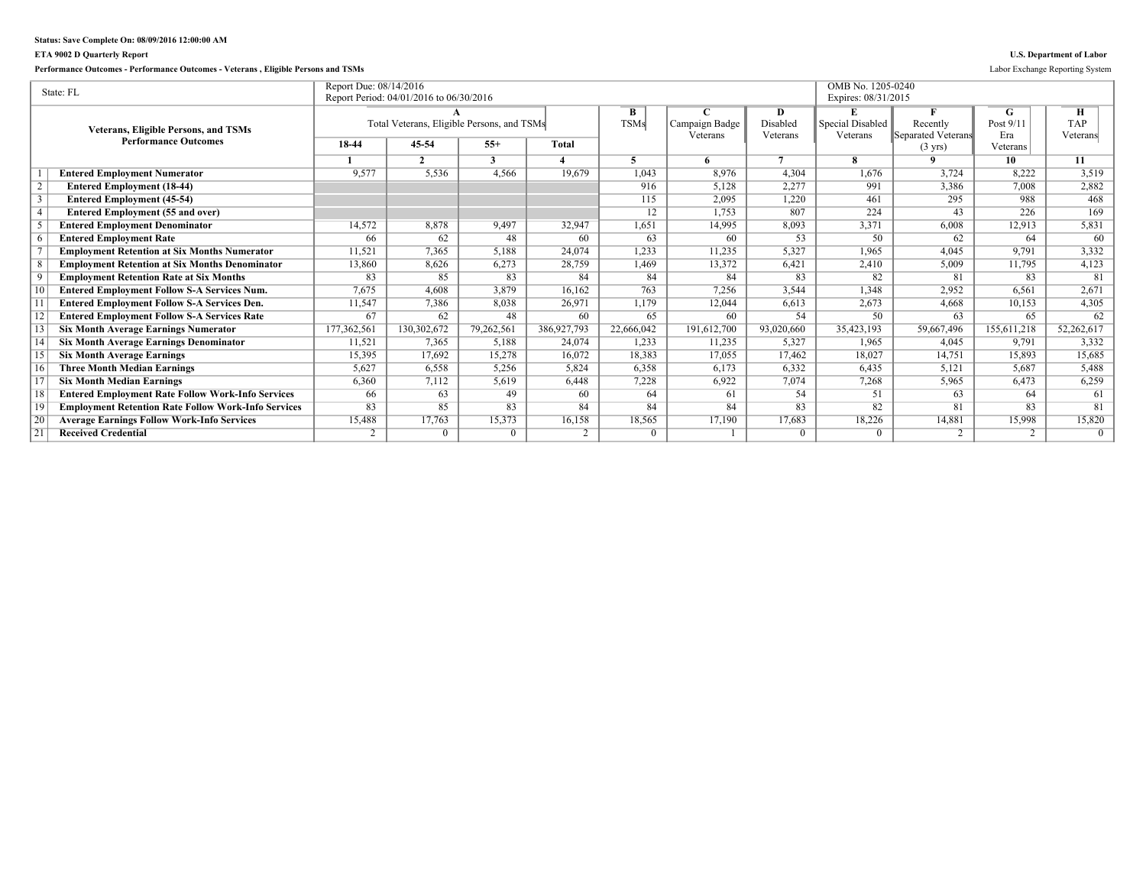## **ETA 9002 D Quarterly Report U.S. Department of Labor**

**Performance Outcomes - Performance Outcomes - Veterans , Eligible Persons and TSMs** Labor Exchange Reporting System

|    | State: FL                                                  | Report Due: 08/14/2016 |                                            |            |              |             |                |            | OMB No. 1205-0240   |                    |             |            |
|----|------------------------------------------------------------|------------------------|--------------------------------------------|------------|--------------|-------------|----------------|------------|---------------------|--------------------|-------------|------------|
|    |                                                            |                        | Report Period: 04/01/2016 to 06/30/2016    |            |              |             |                |            | Expires: 08/31/2015 |                    |             |            |
|    |                                                            |                        |                                            |            |              | B           |                | D          | E                   |                    | G           | Н          |
|    | <b>Veterans, Eligible Persons, and TSMs</b>                |                        | Total Veterans, Eligible Persons, and TSMs |            |              | <b>TSMs</b> | Campaign Badge | Disabled   | Special Disabled    | Recently           | Post $9/11$ | <b>TAP</b> |
|    | <b>Performance Outcomes</b>                                |                        |                                            |            |              |             | Veterans       | Veterans   | Veterans            | Separated Veterans | Era         | Veterans   |
|    |                                                            | 18-44                  | 45-54                                      | $55+$      | <b>Total</b> |             |                |            |                     | $(3 \text{ yrs})$  | Veterans    |            |
|    |                                                            |                        | $\mathcal{L}$                              | 3          |              |             |                | $\tau$     | я                   | $\mathbf{o}$       | 10          | 11         |
|    | <b>Entered Employment Numerator</b>                        | 9,577                  | 5,536                                      | 4,566      | 19.679       | 1,043       | 8.976          | 4,304      | 1,676               | 3,724              | 8,222       | 3,519      |
|    | <b>Entered Employment (18-44)</b>                          |                        |                                            |            |              | 916         | 5,128          | 2,277      | 991                 | 3,386              | 7.008       | 2,882      |
|    | <b>Entered Employment (45-54)</b>                          |                        |                                            |            |              | 115         | 2,095          | 1,220      | 461                 | 295                | 988         | 468        |
|    | <b>Entered Employment (55 and over)</b>                    |                        |                                            |            |              | 12          | 1,753          | 807        | 224                 | 43                 | 226         | 169        |
|    | <b>Entered Employment Denominator</b>                      | 14,572                 | 8,878                                      | 9,497      | 32,947       | 1,651       | 14,995         | 8,093      | 3,371               | 6.008              | 12,913      | 5,831      |
|    | <b>Entered Employment Rate</b>                             | 66                     | 62                                         | 48         | 60           | 63          | 60             | 53         | 50                  | 62                 | 64          | 60         |
|    | <b>Employment Retention at Six Months Numerator</b>        | 11,521                 | 7,365                                      | 5,188      | 24.074       | 1,233       | 11,235         | 5,327      | 1,965               | 4,045              | 9,791       | 3,332      |
|    | <b>Employment Retention at Six Months Denominator</b>      | 13,860                 | 8,626                                      | 6,273      | 28,759       | 1,469       | 13,372         | 6,421      | 2,410               | 5,009              | 11,795      | 4,123      |
|    | <b>Employment Retention Rate at Six Months</b>             | 83                     | 85                                         | 83         | 84           | 84          | 84             | 83         | 82                  | 81                 | 83          | 81         |
|    | <b>Entered Employment Follow S-A Services Num.</b>         | 7,675                  | 4,608                                      | 3,879      | 16.162       | 763         | 7,256          | 3,544      | 1,348               | 2,952              | 6,561       | 2,671      |
|    | <b>Entered Employment Follow S-A Services Den.</b>         | 11,547                 | 7.386                                      | 8,038      | 26,971       | 1,179       | 12,044         | 6,613      | 2.673               | 4,668              | 10,153      | 4,305      |
|    | <b>Entered Employment Follow S-A Services Rate</b>         | 67                     | 62                                         | 48         | 60           | 65          | 60             | 54         | 50                  | 63                 | 65          | 62         |
|    | <b>Six Month Average Earnings Numerator</b>                | 177,362,561            | 130,302,672                                | 79,262,561 | 386,927,793  | 22,666,042  | 191,612,700    | 93,020,660 | 35,423,193          | 59,667,496         | 155,611,218 | 52,262,617 |
|    | <b>Six Month Average Earnings Denominator</b>              | 11,521                 | 7.365                                      | 5,188      | 24.074       | 1.233       | 11.235         | 5,327      | 1.965               | 4.045              | 9.791       | 3,332      |
|    | <b>Six Month Average Earnings</b>                          | 15,395                 | 17,692                                     | 15,278     | 16,072       | 18,383      | 17,055         | 17,462     | 18,027              | 14,751             | 15,893      | 15,685     |
|    | <b>Three Month Median Earnings</b>                         | 5,627                  | 6,558                                      | 5,256      | 5.824        | 6,358       | 6,173          | 6,332      | 6,435               | 5,121              | 5.687       | 5,488      |
|    | <b>Six Month Median Earnings</b>                           | 6,360                  | 7,112                                      | 5,619      | 6,448        | 7,228       | 6,922          | 7,074      | 7,268               | 5,965              | 6,473       | 6,259      |
| 18 | <b>Entered Employment Rate Follow Work-Info Services</b>   | 66                     | 63                                         | 49         | 60           | 64          | 61             | 54         | 51                  | 63                 | 64          | 61         |
| 19 | <b>Employment Retention Rate Follow Work-Info Services</b> | 83                     | 85                                         | 83         | 84           | 84          | 84             | 83         | 82                  | 81                 | 83          | 81         |
| 20 | <b>Average Earnings Follow Work-Info Services</b>          | 15,488                 | 17,763                                     | 15,373     | 16,158       | 18,565      | 17,190         | 17,683     | 18,226              | 14,881             | 15,998      | 15,820     |
| 21 | <b>Received Credential</b>                                 |                        | $\Omega$                                   | $\Omega$   | 2            | $\Omega$    |                | $\Omega$   |                     | 2                  | 2           | $\Omega$   |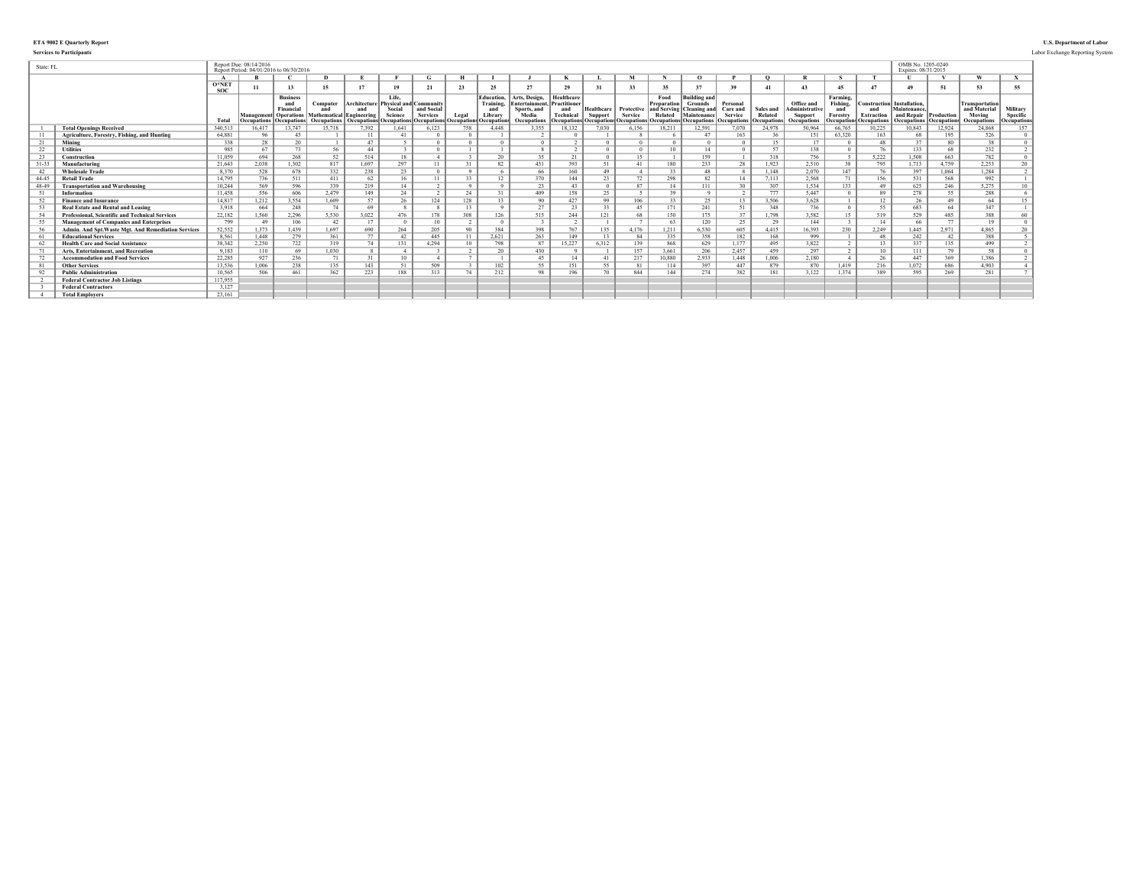### **ETA 9002 E Quarterly Report U.S. Department of Labor**

|           | <b>Services to Participants</b>                        |               |                                                                   |                                                       |                                                                        |                                                  |                                                                         |                                              |              |                                                                                                |                                                                        |                                                       |                       |                       |                                                      |                                                                                                                                          |                                 |                                            |                                                                     |                                                               |                                                                              |                                                 |                          |                                                                |                                                     | Labor Exchange Reporting System |
|-----------|--------------------------------------------------------|---------------|-------------------------------------------------------------------|-------------------------------------------------------|------------------------------------------------------------------------|--------------------------------------------------|-------------------------------------------------------------------------|----------------------------------------------|--------------|------------------------------------------------------------------------------------------------|------------------------------------------------------------------------|-------------------------------------------------------|-----------------------|-----------------------|------------------------------------------------------|------------------------------------------------------------------------------------------------------------------------------------------|---------------------------------|--------------------------------------------|---------------------------------------------------------------------|---------------------------------------------------------------|------------------------------------------------------------------------------|-------------------------------------------------|--------------------------|----------------------------------------------------------------|-----------------------------------------------------|---------------------------------|
| State: FL |                                                        |               | Report Due: 08/14/2016<br>Report Period: 04/01/2016 to 06/30/2016 |                                                       |                                                                        |                                                  |                                                                         |                                              |              |                                                                                                |                                                                        |                                                       |                       |                       |                                                      |                                                                                                                                          |                                 |                                            |                                                                     |                                                               |                                                                              | OMB No. 1205-0240<br>Expires: 08/31/2015        |                          |                                                                |                                                     |                                 |
|           |                                                        |               |                                                                   |                                                       |                                                                        |                                                  |                                                                         | G.                                           |              |                                                                                                |                                                                        |                                                       |                       |                       |                                                      | $\Omega$                                                                                                                                 |                                 |                                            |                                                                     |                                                               |                                                                              |                                                 |                          |                                                                |                                                     |                                 |
|           |                                                        | O*NET<br>soc: |                                                                   |                                                       | 15                                                                     |                                                  | 19                                                                      |                                              | 23           | 25                                                                                             | 27                                                                     | 29                                                    | 31                    |                       |                                                      | 37                                                                                                                                       | 39                              | 41                                         | 43                                                                  | 45                                                            | 47                                                                           |                                                 | 51                       |                                                                | 55                                                  |                                 |
|           |                                                        | <b>Total</b>  |                                                                   | <b>Business</b><br>Financia<br>Ccupations Occupations | Computer<br>and<br>Management  Operations   Mathematical   Engineering | Architecture<br>and<br>Occupations   Occupations | Life.<br><b>Physical and</b><br>Social<br>Science<br><b>Occupations</b> | d Community<br>and Social<br><b>Services</b> | Legal        | <b>Education.</b><br>Training.<br>and<br>Library<br><b>Occupations Occupations Occupations</b> | Arts, Design,<br>Entertainment.<br>Sports, and<br>Media<br>Occupations | Healthcare<br>Practitioner<br>and<br><b>Technical</b> | Healthcare<br>Support | Protective<br>Service | Food<br>Preparation<br>and Serving<br><b>Related</b> | <b>Building and</b><br>Grounds<br>Cleaning and<br>Maintenance<br>Occupations Occupations Occupations Occupations Occupations Occupations | Personal<br>Care and<br>Service | Sales and<br>Related<br><b>Occupations</b> | Office and<br>dministrative<br><b>Support</b><br><b>Occupations</b> | Farming.<br>Fishing.<br>and<br>Forestry<br><b>Occupations</b> | <b>Construction</b> Installation.<br>and<br><b>Extraction</b><br>Occupations | Maintenance<br>and Repair<br><b>Occupations</b> | Production<br>Occupation | Transportation<br>and Material<br>Moving<br><b>Occupations</b> | Military<br>Specific<br><i><b>'Occupations'</b></i> |                                 |
|           | <b>Total Openings Received</b>                         | 340,513       | 16.417                                                            | 13.747                                                | 15.718                                                                 | 7,392                                            | 1.641                                                                   | 6,123                                        | 758          | 4.448                                                                                          | 3.355                                                                  | 18,132                                                | 7.030                 | 6,156                 | 18.211                                               | 12,591                                                                                                                                   | 7.070                           | 24.978                                     | 50.964                                                              | 66.765                                                        | 10,225                                                                       | 10.843                                          | 12,924                   | 24.868                                                         |                                                     |                                 |
|           | Agriculture, Forestry, Fishing, and Hunting            | 64.881        | 96                                                                | 45                                                    |                                                                        |                                                  |                                                                         |                                              |              |                                                                                                |                                                                        |                                                       |                       |                       |                                                      |                                                                                                                                          | 163                             | 36                                         | 151                                                                 | 63.320                                                        | 163                                                                          | 68                                              | 195                      | 526                                                            |                                                     |                                 |
| 21        | Mining                                                 | 338           | 28                                                                | 20                                                    |                                                                        | 47                                               |                                                                         |                                              |              |                                                                                                |                                                                        |                                                       |                       |                       |                                                      |                                                                                                                                          |                                 | 15                                         | 17                                                                  |                                                               | 48                                                                           | 27                                              |                          | 38                                                             |                                                     |                                 |
| 22        | <b>Utilities</b>                                       | 985           | 67                                                                | 73                                                    | 56                                                                     | 44                                               |                                                                         |                                              |              |                                                                                                |                                                                        |                                                       |                       |                       | 10 <sup>10</sup>                                     |                                                                                                                                          |                                 | 57                                         | 138                                                                 |                                                               |                                                                              | 133                                             |                          | 232                                                            |                                                     |                                 |
| 23        | Construction                                           | 11.059        | 694                                                               | 268                                                   | 52                                                                     | 514                                              | 18                                                                      |                                              |              | 20                                                                                             | 25                                                                     | 21                                                    |                       |                       |                                                      | 159                                                                                                                                      |                                 | 318                                        | 756                                                                 |                                                               | 5,222                                                                        | 1.508                                           | 663                      | 782                                                            |                                                     |                                 |
| $31 - 33$ | Manufacturing                                          | 21,643        | 2,038                                                             | 1,302                                                 | 817                                                                    | 1.697                                            | 297                                                                     |                                              | 21           | 82                                                                                             | 431                                                                    | 393                                                   | 51                    | $\Delta$ 1            | 180                                                  | 233                                                                                                                                      | 28                              | 1,923                                      | 2,510                                                               | 38                                                            | 795                                                                          | 1,713                                           | 4,759                    | 2,253                                                          |                                                     |                                 |
| 42        | <b>Wholesale Trade</b>                                 | 8.370         | 528                                                               | 678                                                   | 332                                                                    | 238                                              | 23                                                                      |                                              |              |                                                                                                | 66                                                                     | 160                                                   | 49                    |                       | 33                                                   | 48                                                                                                                                       |                                 | 1.148                                      | 2.070                                                               | 147                                                           | 76                                                                           | 397                                             | 1,064                    | 1.284                                                          |                                                     |                                 |
| 44-45     | <b>Retail Trade</b>                                    | 14.795        | 736                                                               | 511                                                   | 411                                                                    | 62                                               |                                                                         |                                              | 22           | 12                                                                                             | 370                                                                    | 144                                                   | 23                    | 72                    | 298                                                  | 82.                                                                                                                                      |                                 | 7.113                                      | 2.568                                                               | 71                                                            | 156                                                                          | 531                                             | 568                      | 992                                                            |                                                     |                                 |
| 48-49     | <b>Transportation and Warehousing</b>                  | 10.244        | 569                                                               | 596                                                   | 339                                                                    | 219                                              |                                                                         |                                              |              |                                                                                                | 23                                                                     | 43                                                    |                       | QT                    | 14                                                   | 111                                                                                                                                      |                                 | 307                                        | 1.534                                                               | 133                                                           | 49                                                                           | 625                                             | 246                      | 5,275                                                          |                                                     |                                 |
| -51       | Information                                            | 11.458        | 556                                                               | 606                                                   | 2.479                                                                  | 149                                              | 24                                                                      |                                              | 24           |                                                                                                | 409                                                                    | 158                                                   | $\Delta$              |                       | 39                                                   |                                                                                                                                          |                                 | 777                                        | 5.447                                                               |                                                               | 89                                                                           | 278                                             |                          | 288                                                            |                                                     |                                 |
| 52        | <b>Finance and Insurance</b>                           | 14.817        | 1,212                                                             | 3.554                                                 | 1,609                                                                  | 57                                               | 26                                                                      | 124                                          | 128          | 13                                                                                             | 90                                                                     | 427                                                   | QQ                    | 106                   | 33                                                   | 25                                                                                                                                       |                                 | 3,506                                      | 3,628                                                               |                                                               | 12                                                                           | 26                                              | 49                       | 64                                                             |                                                     |                                 |
| - 53      | <b>Real Estate and Rental and Leasing</b>              | 3.918         | 664                                                               | 248                                                   | 74                                                                     | 69                                               |                                                                         |                                              | 13           |                                                                                                | 27                                                                     | 2 <sub>2</sub>                                        | 22                    | 45                    | 171                                                  | 241                                                                                                                                      | 51                              | 348                                        | 736                                                                 |                                                               | 55                                                                           | 683                                             | 64                       | 347                                                            |                                                     |                                 |
| -54       | <b>Professional, Scientific and Technical Services</b> | 22,182        | 1.560                                                             | 2,296                                                 | 5,530                                                                  | 3,022                                            | 476                                                                     | 178                                          | 308          | 126                                                                                            | 515                                                                    | 244                                                   | 121                   | 68                    | 150                                                  | 175                                                                                                                                      |                                 | 1.798                                      | 3,582                                                               | 15                                                            | 519                                                                          | 529                                             | 485                      | 388                                                            |                                                     |                                 |
| -55       | <b>Management of Companies and Enterprises</b>         | 799           | 49                                                                | 106                                                   | 42                                                                     | 17                                               |                                                                         | 10                                           |              |                                                                                                |                                                                        |                                                       |                       |                       | 63                                                   | 120                                                                                                                                      | 25                              | 29                                         | 144                                                                 |                                                               | 14                                                                           | 66                                              | 77                       | 19                                                             |                                                     |                                 |
|           | Admin. And Spt. Waste Mgt. And Remediation Services    | 52,552        | 1.373                                                             | 1.439                                                 | 1.697                                                                  | 690                                              | 264                                                                     | 205                                          | $90^{\circ}$ | 384                                                                                            | 398                                                                    | 767                                                   | 135                   | 4.176                 | 1.211                                                | 6,530                                                                                                                                    | 605                             | 4,415                                      | 16.393                                                              | 230                                                           | 2,249                                                                        | 1.445                                           | 2.971                    | 4,865                                                          |                                                     |                                 |
| - 61      | <b>Educational Services</b>                            | 8,561         | 1,448                                                             | 279                                                   | 361                                                                    | 77                                               | 42                                                                      | 445                                          | 11           | 2,621                                                                                          | 263                                                                    | 149                                                   | 13                    |                       | 335                                                  | 358                                                                                                                                      | 182                             | 168                                        | 999                                                                 |                                                               | 48                                                                           | 242                                             | 42                       | 388                                                            |                                                     |                                 |
| 62        | <b>Health Care and Social Assistance</b>               | 38,342        | 2,250                                                             | 722                                                   | 319                                                                    | 74                                               | 131                                                                     | 4.294                                        | 10           | 798                                                                                            | 87                                                                     | 15,227                                                | 6,312                 | 139                   | 868                                                  | 629                                                                                                                                      | 1.177                           | 495                                        | 3,822                                                               |                                                               | 13.                                                                          | 337                                             | 135                      | 499                                                            |                                                     |                                 |
|           | Arts, Entertainment, and Recreation                    | 9.183         | 110                                                               | 69                                                    | 1.030                                                                  |                                                  |                                                                         |                                              |              | 20                                                                                             | 430                                                                    |                                                       |                       | 157                   | 3.661                                                | 206                                                                                                                                      | 2,457                           | 459                                        | 297                                                                 |                                                               | $10^{-1}$                                                                    | 111                                             | 70                       | 58                                                             |                                                     |                                 |
|           | <b>Accommodation and Food Services</b>                 | 22.285        | 927                                                               | 236                                                   |                                                                        | 31                                               | 10                                                                      |                                              |              |                                                                                                | 45                                                                     |                                                       | $\Delta$ 1            | 217                   | 10.880                                               | 2.933                                                                                                                                    | 1.448                           | 1.006                                      | 2.180                                                               |                                                               | 26                                                                           | 447                                             | 369                      | 1.386                                                          |                                                     |                                 |
| 81        | <b>Other Services</b>                                  | 13,536        | 1.006                                                             | 238                                                   | 135                                                                    | 143                                              | 51                                                                      | 509                                          |              | 102                                                                                            | 55                                                                     | 151                                                   | 55                    |                       | 114                                                  | 397                                                                                                                                      | 447                             | 879                                        | 870                                                                 | 1.419                                                         | 216                                                                          | 1.072                                           | 686                      | 4.903                                                          |                                                     |                                 |
| -92       | <b>Public Administration</b>                           | 10,565        | 506                                                               | 461                                                   | 362                                                                    | 223                                              | 188                                                                     | 313                                          | $T_{A}$      | 212                                                                                            | 09                                                                     | 196                                                   |                       | 844                   | 144                                                  | 274                                                                                                                                      | 382                             | 181                                        | 3,122                                                               | 1.374                                                         | 389                                                                          | 595                                             | 269                      | 281                                                            |                                                     |                                 |
|           | <b>Federal Contractor Job Listings</b>                 | 117,955       |                                                                   |                                                       |                                                                        |                                                  |                                                                         |                                              |              |                                                                                                |                                                                        |                                                       |                       |                       |                                                      |                                                                                                                                          |                                 |                                            |                                                                     |                                                               |                                                                              |                                                 |                          |                                                                |                                                     |                                 |
|           | <b>Federal Contractors</b>                             | 3,127         |                                                                   |                                                       |                                                                        |                                                  |                                                                         |                                              |              |                                                                                                |                                                                        |                                                       |                       |                       |                                                      |                                                                                                                                          |                                 |                                            |                                                                     |                                                               |                                                                              |                                                 |                          |                                                                |                                                     |                                 |
|           | <b>Total Employers</b>                                 | 23 161        |                                                                   |                                                       |                                                                        |                                                  |                                                                         |                                              |              |                                                                                                |                                                                        |                                                       |                       |                       |                                                      |                                                                                                                                          |                                 |                                            |                                                                     |                                                               |                                                                              |                                                 |                          |                                                                |                                                     |                                 |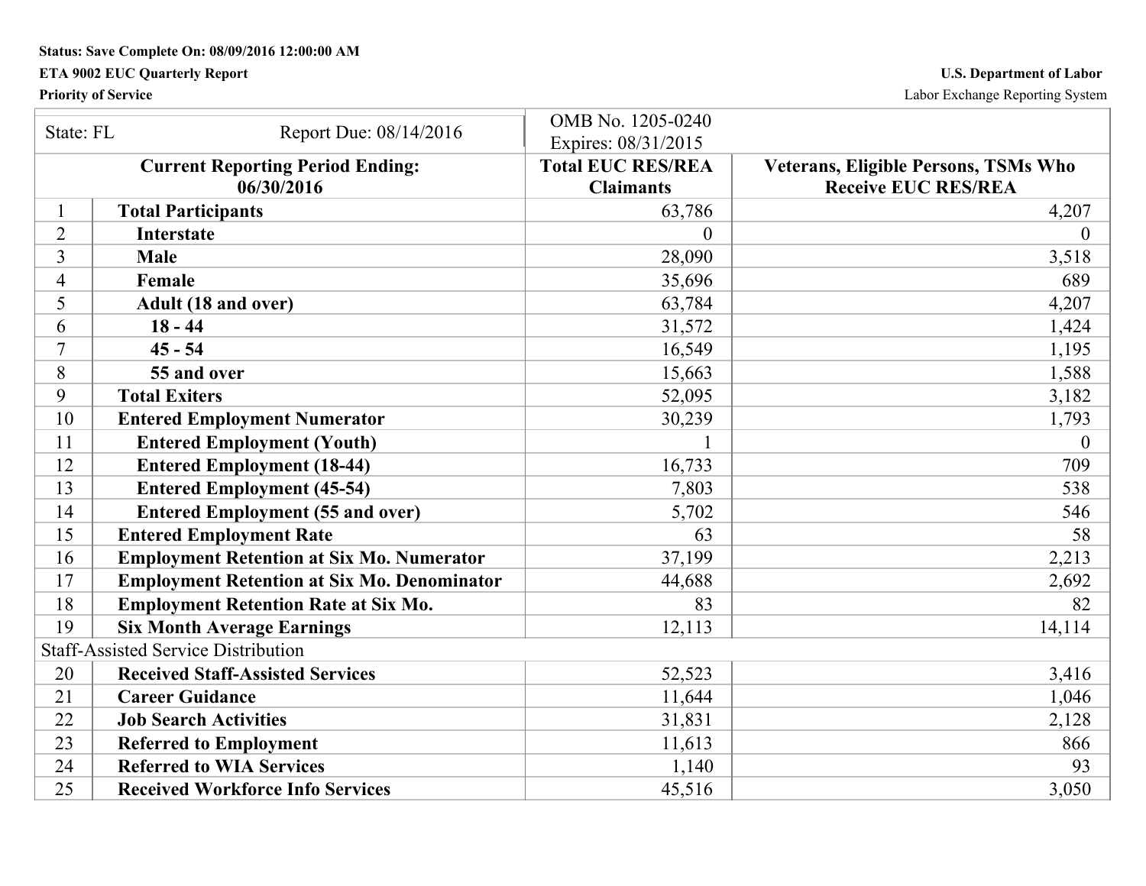# **ETA 9002 EUC Quarterly Report U.S. Department of Labor**

**Priority of Service** Labor Exchange Reporting System

| State: FL      |                                                    | OMB No. 1205-0240        |                                             |
|----------------|----------------------------------------------------|--------------------------|---------------------------------------------|
|                | Report Due: 08/14/2016                             | Expires: 08/31/2015      |                                             |
|                | <b>Current Reporting Period Ending:</b>            | <b>Total EUC RES/REA</b> | <b>Veterans, Eligible Persons, TSMs Who</b> |
|                | 06/30/2016                                         | <b>Claimants</b>         | <b>Receive EUC RES/REA</b>                  |
|                | <b>Total Participants</b>                          | 63,786                   | 4,207                                       |
| $\overline{2}$ | <b>Interstate</b>                                  | $\theta$                 | 0                                           |
| 3              | <b>Male</b>                                        | 28,090                   | 3,518                                       |
| $\overline{4}$ | Female                                             | 35,696                   | 689                                         |
| 5              | Adult (18 and over)                                | 63,784                   | 4,207                                       |
| 6              | $18 - 44$                                          | 31,572                   | 1,424                                       |
| 7              | $45 - 54$                                          | 16,549                   | 1,195                                       |
| 8              | 55 and over                                        | 15,663                   | 1,588                                       |
| 9              | <b>Total Exiters</b>                               | 52,095                   | 3,182                                       |
| 10             | <b>Entered Employment Numerator</b>                | 30,239                   | 1,793                                       |
| 11             | <b>Entered Employment (Youth)</b>                  |                          | $\theta$                                    |
| 12             | <b>Entered Employment (18-44)</b>                  | 16,733                   | 709                                         |
| 13             | <b>Entered Employment (45-54)</b>                  | 7,803                    | 538                                         |
| 14             | <b>Entered Employment (55 and over)</b>            | 5,702                    | 546                                         |
| 15             | <b>Entered Employment Rate</b>                     | 63                       | 58                                          |
| 16             | <b>Employment Retention at Six Mo. Numerator</b>   | 37,199                   | 2,213                                       |
| 17             | <b>Employment Retention at Six Mo. Denominator</b> | 44,688                   | 2,692                                       |
| 18             | <b>Employment Retention Rate at Six Mo.</b>        | 83                       | 82                                          |
| 19             | <b>Six Month Average Earnings</b>                  | 12,113                   | 14,114                                      |
|                | <b>Staff-Assisted Service Distribution</b>         |                          |                                             |
| 20             | <b>Received Staff-Assisted Services</b>            | 52,523                   | 3,416                                       |
| 21             | <b>Career Guidance</b>                             | 11,644                   | 1,046                                       |
| 22             | <b>Job Search Activities</b>                       | 31,831                   | 2,128                                       |
| 23             | <b>Referred to Employment</b>                      | 11,613                   | 866                                         |
| 24             | <b>Referred to WIA Services</b>                    | 1,140                    | 93                                          |
| 25             | <b>Received Workforce Info Services</b>            | 45,516                   | 3,050                                       |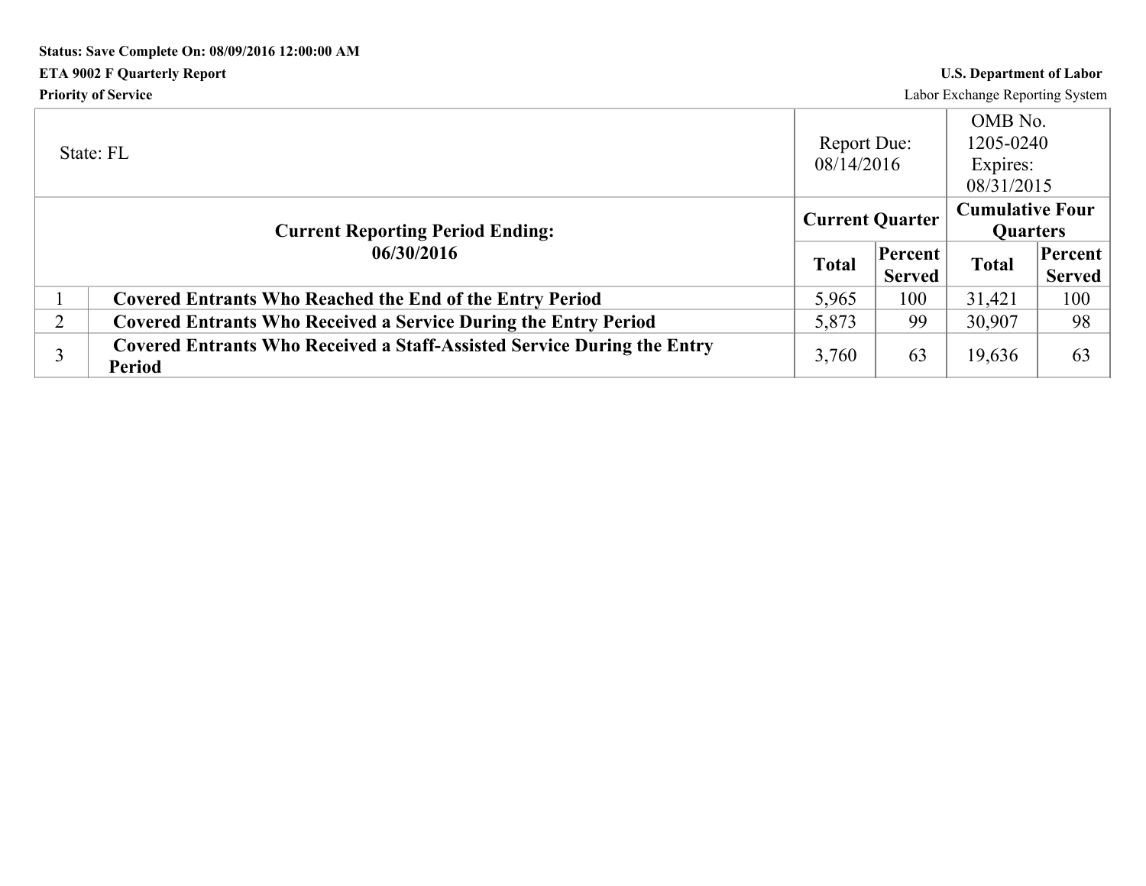# **Status: Save Complete On: 08/09/2016 12:00:00 AM ETA 9002 F Quarterly Report U.S. Department of Labor Priority of Service** Labor Exchange Reporting System

|                | State: FL                                                                                       | Report Due:<br>08/14/2016 |                          | OMB No.<br>1205-0240<br>Expires:<br>08/31/2015 |                          |
|----------------|-------------------------------------------------------------------------------------------------|---------------------------|--------------------------|------------------------------------------------|--------------------------|
|                | <b>Current Reporting Period Ending:</b>                                                         | <b>Current Quarter</b>    |                          | <b>Cumulative Four</b><br><b>Quarters</b>      |                          |
|                | 06/30/2016                                                                                      | <b>Total</b>              | Percent<br><b>Served</b> | <b>Total</b>                                   | Percent<br><b>Served</b> |
|                | <b>Covered Entrants Who Reached the End of the Entry Period</b>                                 | 5,965                     | 100                      | 31,421                                         | 100                      |
| $\overline{2}$ | <b>Covered Entrants Who Received a Service During the Entry Period</b>                          | 5,873                     | 99                       | 30,907                                         | 98                       |
|                | <b>Covered Entrants Who Received a Staff-Assisted Service During the Entry</b><br><b>Period</b> | 3,760                     | 63                       | 19,636                                         | 63                       |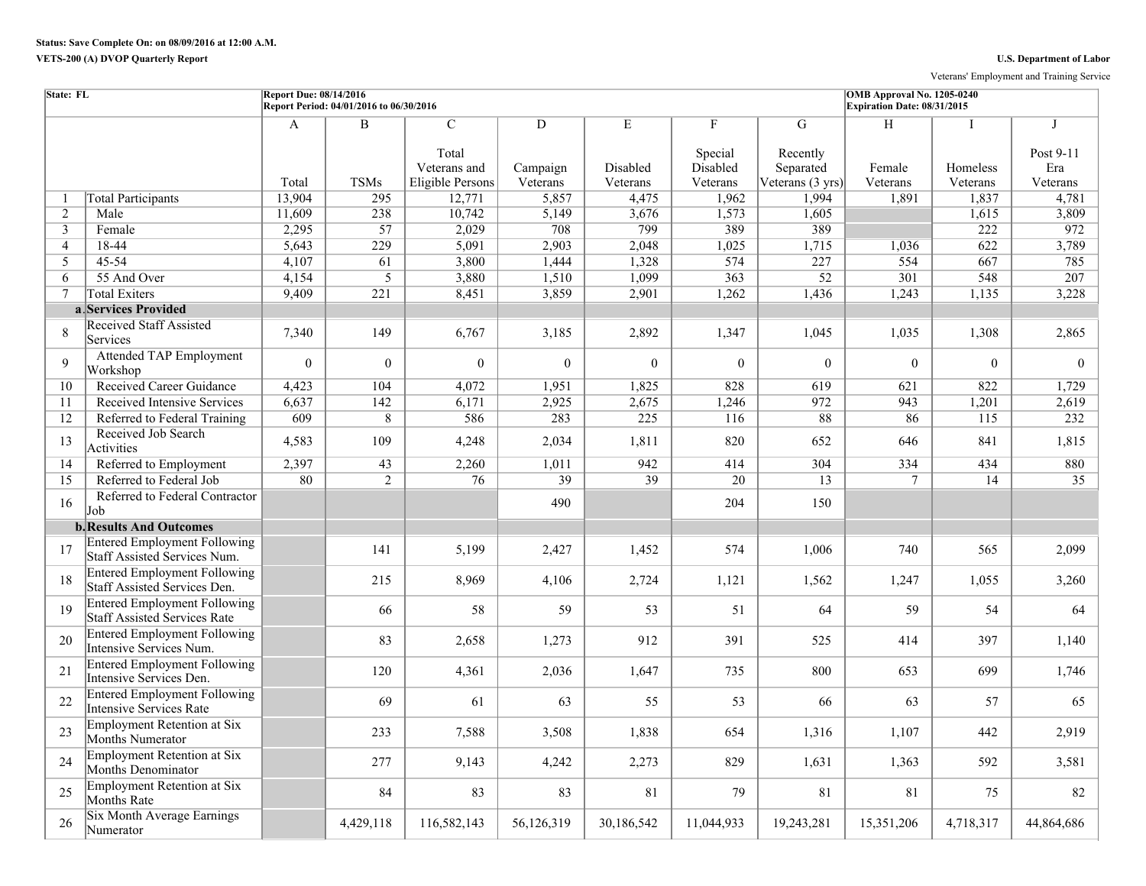Veterans' Employment and Training Service

| State: FL      |                                                                            | <b>Report Due: 08/14/2016</b> | Report Period: 04/01/2016 to 06/30/2016 |                                                  |                      |                      |                                 |                                                     | OMB Approval No. 1205-0240<br>Expiration Date: 08/31/2015 |                      |                              |
|----------------|----------------------------------------------------------------------------|-------------------------------|-----------------------------------------|--------------------------------------------------|----------------------|----------------------|---------------------------------|-----------------------------------------------------|-----------------------------------------------------------|----------------------|------------------------------|
|                |                                                                            | A                             | $\overline{B}$                          | $\overline{C}$                                   | D                    | Е                    | F                               | G                                                   | Н                                                         |                      | $\mathbf{I}$                 |
|                |                                                                            | Total                         | <b>TSMs</b>                             | Total<br>Veterans and<br><b>Eligible Persons</b> | Campaign<br>Veterans | Disabled<br>Veterans | Special<br>Disabled<br>Veterans | Recently<br>Separated<br>Veterans $(3 \text{ yrs})$ | Female<br>Veterans                                        | Homeless<br>Veterans | Post 9-11<br>Era<br>Veterans |
| -1             | <b>Total Participants</b>                                                  | 13,904                        | 295                                     | 12,771                                           | 5,857                | 4,475                | 1,962                           | 1,994                                               | 1,891                                                     | 1,837                | 4,781                        |
| 2              | Male                                                                       | 11,609                        | 238                                     | 10,742                                           | 5,149                | 3,676                | 1,573                           | 1,605                                               |                                                           | 1,615                | 3,809                        |
| 3              | Female                                                                     | 2,295                         | $\overline{57}$                         | 2,029                                            | 708                  | 799                  | 389                             | 389                                                 |                                                           | 222                  | 972                          |
| $\overline{4}$ | 18-44                                                                      | 5,643                         | 229                                     | 5,091                                            | 2,903                | 2,048                | 1,025                           | 1,715                                               | 1,036                                                     | 622                  | 3,789                        |
| 5              | 45-54                                                                      | 4,107                         | 61                                      | 3,800                                            | 1,444                | 1,328                | 574                             | 227                                                 | 554                                                       | 667                  | 785                          |
| 6              | 55 And Over                                                                | 4,154                         | 5                                       | 3,880                                            | 1,510                | 1,099                | 363                             | $\overline{52}$                                     | 301                                                       | 548                  | 207                          |
| 7              | <b>Total Exiters</b>                                                       | 9,409                         | $\overline{221}$                        | 8,451                                            | 3,859                | 2,901                | 1,262                           | 1,436                                               | 1,243                                                     | 1,135                | 3,228                        |
|                | a Services Provided                                                        |                               |                                         |                                                  |                      |                      |                                 |                                                     |                                                           |                      |                              |
| 8              | <b>Received Staff Assisted</b><br>Services                                 | 7,340                         | 149                                     | 6,767                                            | 3,185                | 2,892                | 1,347                           | 1,045                                               | 1,035                                                     | 1,308                | 2,865                        |
| 9              | <b>Attended TAP Employment</b><br>Workshop                                 | $\theta$                      | $\boldsymbol{0}$                        | $\theta$                                         | $\theta$             | $\theta$             | $\theta$                        | $\theta$                                            | $\Omega$                                                  | $\theta$             | $\theta$                     |
| 10             | Received Career Guidance                                                   | 4,423                         | 104                                     | 4,072                                            | 1,951                | 1,825                | 828                             | 619                                                 | 621                                                       | 822                  | 1,729                        |
| 11             | Received Intensive Services                                                | 6,637                         | $\overline{142}$                        | 6,171                                            | 2,925                | 2,675                | 1,246                           | 972                                                 | 943                                                       | 1,201                | 2,619                        |
| 12             | Referred to Federal Training                                               | 609                           | $\,8\,$                                 | 586                                              | 283                  | 225                  | 116                             | 88                                                  | 86                                                        | 115                  | 232                          |
| 13             | Received Job Search<br>Activities                                          | 4,583                         | 109                                     | 4,248                                            | 2,034                | 1,811                | 820                             | 652                                                 | 646                                                       | 841                  | 1,815                        |
| 14             | Referred to Employment                                                     | 2,397                         | $\overline{43}$                         | 2,260                                            | 1,011                | 942                  | 414                             | 304                                                 | 334                                                       | 434                  | 880                          |
| 15             | Referred to Federal Job                                                    | 80                            | $\overline{2}$                          | 76                                               | $\overline{39}$      | 39                   | 20                              | 13                                                  | $\tau$                                                    | 14                   | 35                           |
| 16             | Referred to Federal Contractor<br>Job                                      |                               |                                         |                                                  | 490                  |                      | 204                             | 150                                                 |                                                           |                      |                              |
|                | <b>b. Results And Outcomes</b>                                             |                               |                                         |                                                  |                      |                      |                                 |                                                     |                                                           |                      |                              |
| 17             | <b>Entered Employment Following</b><br>Staff Assisted Services Num.        |                               | 141                                     | 5,199                                            | 2,427                | 1,452                | 574                             | 1,006                                               | 740                                                       | 565                  | 2,099                        |
| 18             | <b>Entered Employment Following</b><br>Staff Assisted Services Den.        |                               | 215                                     | 8,969                                            | 4,106                | 2,724                | 1,121                           | 1,562                                               | 1,247                                                     | 1,055                | 3,260                        |
| 19             | <b>Entered Employment Following</b><br><b>Staff Assisted Services Rate</b> |                               | 66                                      | 58                                               | 59                   | 53                   | 51                              | 64                                                  | 59                                                        | 54                   | 64                           |
| 20             | <b>Entered Employment Following</b><br>Intensive Services Num.             |                               | 83                                      | 2,658                                            | 1,273                | 912                  | 391                             | 525                                                 | 414                                                       | 397                  | 1,140                        |
| 21             | <b>Entered Employment Following</b><br>Intensive Services Den.             |                               | 120                                     | 4,361                                            | 2,036                | 1,647                | 735                             | 800                                                 | 653                                                       | 699                  | 1,746                        |
| 22             | <b>Entered Employment Following</b><br>Intensive Services Rate             |                               | 69                                      | 61                                               | 63                   | 55                   | 53                              | 66                                                  | 63                                                        | 57                   | 65                           |
| 23             | <b>Employment Retention at Six</b><br>Months Numerator                     |                               | 233                                     | 7,588                                            | 3,508                | 1,838                | 654                             | 1,316                                               | 1,107                                                     | 442                  | 2,919                        |
| 24             | <b>Employment Retention at Six</b><br>Months Denominator                   |                               | 277                                     | 9,143                                            | 4,242                | 2,273                | 829                             | 1,631                                               | 1,363                                                     | 592                  | 3,581                        |
| 25             | <b>Employment Retention at Six</b><br>Months Rate                          |                               | 84                                      | 83                                               | 83                   | 81                   | 79                              | 81                                                  | 81                                                        | 75                   | 82                           |
| 26             | Six Month Average Earnings<br>Numerator                                    |                               | 4,429,118                               | 116,582,143                                      | 56,126,319           | 30,186,542           | 11,044,933                      | 19,243,281                                          | 15,351,206                                                | 4,718,317            | 44,864,686                   |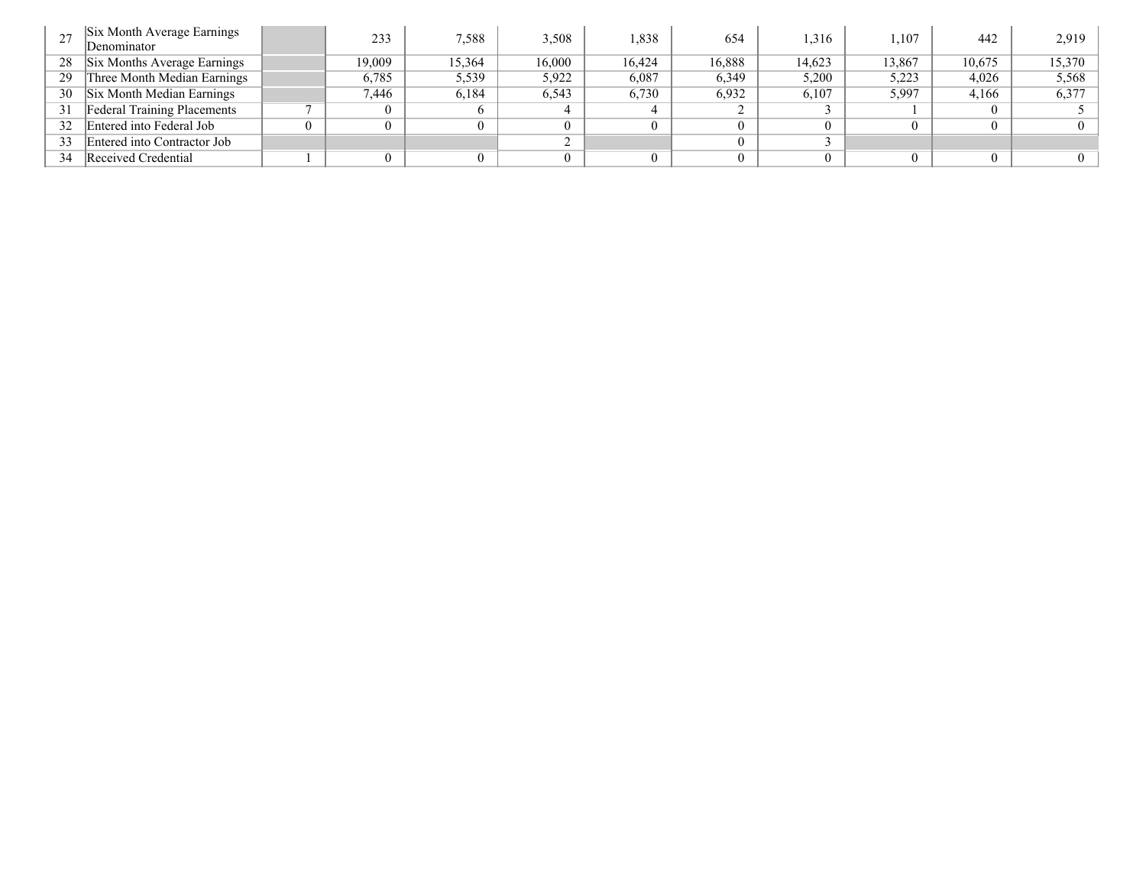|    | Six Month Average Earnings<br>Denominator | 233      | 7.588  | 3,508  | 1,838  | 654    | .316   | .107   | 442    | 2,919  |
|----|-------------------------------------------|----------|--------|--------|--------|--------|--------|--------|--------|--------|
| 28 | Six Months Average Earnings               | 19,009   | 15,364 | 16.000 | 16.424 | 16,888 | 14.623 | 13,867 | 10,675 | 15,370 |
| 29 | Three Month Median Earnings               | 6,785    | 5,539  | 5,922  | 6,087  | 6,349  | 5,200  | 5,223  | 4,026  | 5,568  |
| 30 | Six Month Median Earnings                 | 7,446    | 6,184  | 6,543  | 6,730  | 6,932  | 6,107  | 5,997  | 4,166  | 6,377  |
| 31 | <b>Federal Training Placements</b>        | $\Omega$ |        |        |        |        |        |        |        |        |
| 32 | Entered into Federal Job                  | $\Omega$ |        |        |        |        |        |        |        |        |
| 33 | Entered into Contractor Job               |          |        |        |        |        |        |        |        |        |
| 34 | Received Credential                       | $\Omega$ |        |        |        |        |        |        |        |        |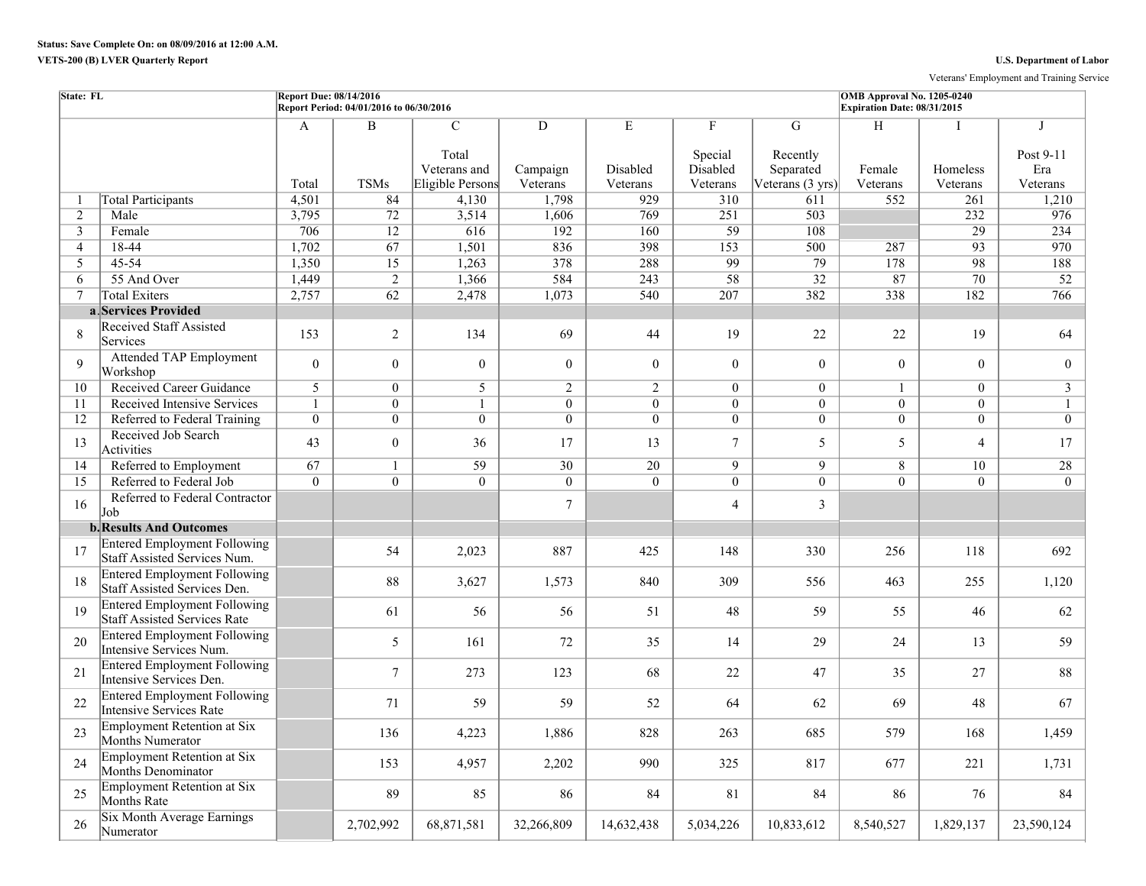## **VETS-200 (B) LVER Quarterly Report U.S. Department of Labor**

Veterans' Employment and Training Service

| State: FL      |                                                                     | <b>Report Due: 08/14/2016</b> | Report Period: 04/01/2016 to 06/30/2016 |                                                            |                           |                           |                                      |                                                | OMB Approval No. 1205-0240<br>Expiration Date: 08/31/2015 |                      |                                   |
|----------------|---------------------------------------------------------------------|-------------------------------|-----------------------------------------|------------------------------------------------------------|---------------------------|---------------------------|--------------------------------------|------------------------------------------------|-----------------------------------------------------------|----------------------|-----------------------------------|
|                |                                                                     | A<br>Total                    | $\overline{B}$<br><b>TSMs</b>           | $\mathcal{C}$<br>Total<br>Veterans and<br>Eligible Persons | D<br>Campaign<br>Veterans | E<br>Disabled<br>Veterans | F<br>Special<br>Disabled<br>Veterans | G<br>Recently<br>Separated<br>Veterans (3 yrs) | H<br>Female<br>Veterans                                   | Homeless<br>Veterans | I<br>Post 9-11<br>Era<br>Veterans |
|                | <b>Total Participants</b>                                           | 4,501                         | 84                                      | 4,130                                                      | 1,798                     | 929                       | 310                                  | 611                                            | 552                                                       | 261                  | 1,210                             |
| $\overline{2}$ | Male                                                                | 3,795                         | 72                                      | 3,514                                                      | 1,606                     | 769                       | 251                                  | 503                                            |                                                           | 232                  | 976                               |
| 3              | Female                                                              | 706                           | 12                                      | 616                                                        | 192                       | 160                       | $\overline{59}$                      | 108                                            |                                                           | $\overline{29}$      | 234                               |
| $\overline{4}$ | 18-44                                                               | 1,702                         | 67                                      | 1,501                                                      | 836                       | 398                       | 153                                  | 500                                            | 287                                                       | $\overline{93}$      | 970                               |
| 5              | 45-54                                                               | 1,350                         | 15                                      | 1,263                                                      | 378                       | 288                       | 99                                   | 79                                             | 178                                                       | 98                   | 188                               |
| 6              | 55 And Over                                                         | 1,449                         | $\overline{2}$                          | 1,366                                                      | 584                       | $\overline{243}$          | 58                                   | $\overline{32}$                                | 87                                                        | $\overline{70}$      | $\overline{52}$                   |
| $\tau$         | <b>Total Exiters</b>                                                | 2,757                         | 62                                      | 2,478                                                      | 1,073                     | 540                       | 207                                  | 382                                            | 338                                                       | 182                  | 766                               |
|                | a Services Provided                                                 |                               |                                         |                                                            |                           |                           |                                      |                                                |                                                           |                      |                                   |
| 8              | <b>Received Staff Assisted</b><br>Services                          | 153                           | $\overline{2}$                          | 134                                                        | 69                        | 44                        | 19                                   | 22                                             | 22                                                        | 19                   | 64                                |
| $\mathbf{Q}$   | <b>Attended TAP Employment</b><br>Workshop                          | $\boldsymbol{0}$              | $\overline{0}$                          | $\boldsymbol{0}$                                           | $\overline{0}$            | $\theta$                  | $\mathbf{0}$                         | $\Omega$                                       | $\overline{0}$                                            | $\Omega$             | $\overline{0}$                    |
| 10             | <b>Received Career Guidance</b>                                     | 5                             | $\overline{0}$                          | 5                                                          | $\overline{2}$            | $\overline{2}$            | $\theta$                             | $\overline{0}$                                 | $\mathbf{1}$                                              | $\theta$             | 3                                 |
| 11             | Received Intensive Services                                         | $\mathbf{1}$                  | $\boldsymbol{0}$                        | $\mathbf{1}$                                               | $\overline{0}$            | $\overline{0}$            | $\overline{0}$                       | $\theta$                                       | $\overline{0}$                                            | $\overline{0}$       | $\mathbf{1}$                      |
| 12             | Referred to Federal Training                                        | $\overline{0}$                | $\overline{0}$                          | $\overline{0}$                                             | $\overline{0}$            | $\overline{0}$            | $\overline{0}$                       | $\overline{0}$                                 | $\overline{0}$                                            | $\overline{0}$       | $\overline{0}$                    |
| 13             | Received Job Search<br>Activities                                   | 43                            | $\mathbf{0}$                            | 36                                                         | 17                        | 13                        | $\tau$                               | 5                                              | 5                                                         | $\overline{4}$       | 17                                |
| 14             | Referred to Employment                                              | 67                            | $\mathbf{1}$                            | 59                                                         | 30                        | 20                        | $\overline{9}$                       | $\overline{9}$                                 | 8                                                         | 10                   | 28                                |
| 15             | Referred to Federal Job                                             | $\overline{0}$                | $\overline{0}$                          | $\overline{0}$                                             | $\overline{0}$            | $\overline{0}$            | $\overline{0}$                       | $\overline{0}$                                 | $\overline{0}$                                            | $\overline{0}$       | $\overline{0}$                    |
| 16             | Referred to Federal Contractor<br>Job                               |                               |                                         |                                                            | $\tau$                    |                           | $\overline{4}$                       | 3                                              |                                                           |                      |                                   |
|                | <b>b. Results And Outcomes</b>                                      |                               |                                         |                                                            |                           |                           |                                      |                                                |                                                           |                      |                                   |
| 17             | <b>Entered Employment Following</b><br>Staff Assisted Services Num. |                               | 54                                      | 2,023                                                      | 887                       | 425                       | 148                                  | 330                                            | 256                                                       | 118                  | 692                               |
| 18             | <b>Entered Employment Following</b><br>Staff Assisted Services Den. |                               | 88                                      | 3,627                                                      | 1,573                     | 840                       | 309                                  | 556                                            | 463                                                       | 255                  | 1,120                             |
| 19             | <b>Entered Employment Following</b><br>Staff Assisted Services Rate |                               | 61                                      | 56                                                         | 56                        | 51                        | 48                                   | 59                                             | 55                                                        | 46                   | 62                                |
| 20             | <b>Entered Employment Following</b><br>Intensive Services Num.      |                               | 5                                       | 161                                                        | 72                        | 35                        | 14                                   | 29                                             | 24                                                        | 13                   | 59                                |
| 21             | <b>Entered Employment Following</b><br>Intensive Services Den.      |                               | $\overline{7}$                          | 273                                                        | 123                       | 68                        | 22                                   | 47                                             | 35                                                        | 27                   | 88                                |
| 22             | <b>Entered Employment Following</b><br>Intensive Services Rate      |                               | 71                                      | 59                                                         | 59                        | 52                        | 64                                   | 62                                             | 69                                                        | 48                   | 67                                |
| 23             | Employment Retention at Six<br>Months Numerator                     |                               | 136                                     | 4,223                                                      | 1,886                     | 828                       | 263                                  | 685                                            | 579                                                       | 168                  | 1,459                             |
| 24             | Employment Retention at Six<br><b>Months Denominator</b>            |                               | 153                                     | 4,957                                                      | 2,202                     | 990                       | 325                                  | 817                                            | 677                                                       | 221                  | 1,731                             |
| 25             | Employment Retention at Six<br>Months Rate                          |                               | 89                                      | 85                                                         | 86                        | 84                        | 81                                   | 84                                             | 86                                                        | 76                   | 84                                |
| 26             | Six Month Average Earnings<br>Numerator                             |                               | 2,702,992                               | 68,871,581                                                 | 32,266,809                | 14,632,438                | 5,034,226                            | 10,833,612                                     | 8,540,527                                                 | 1,829,137            | 23,590,124                        |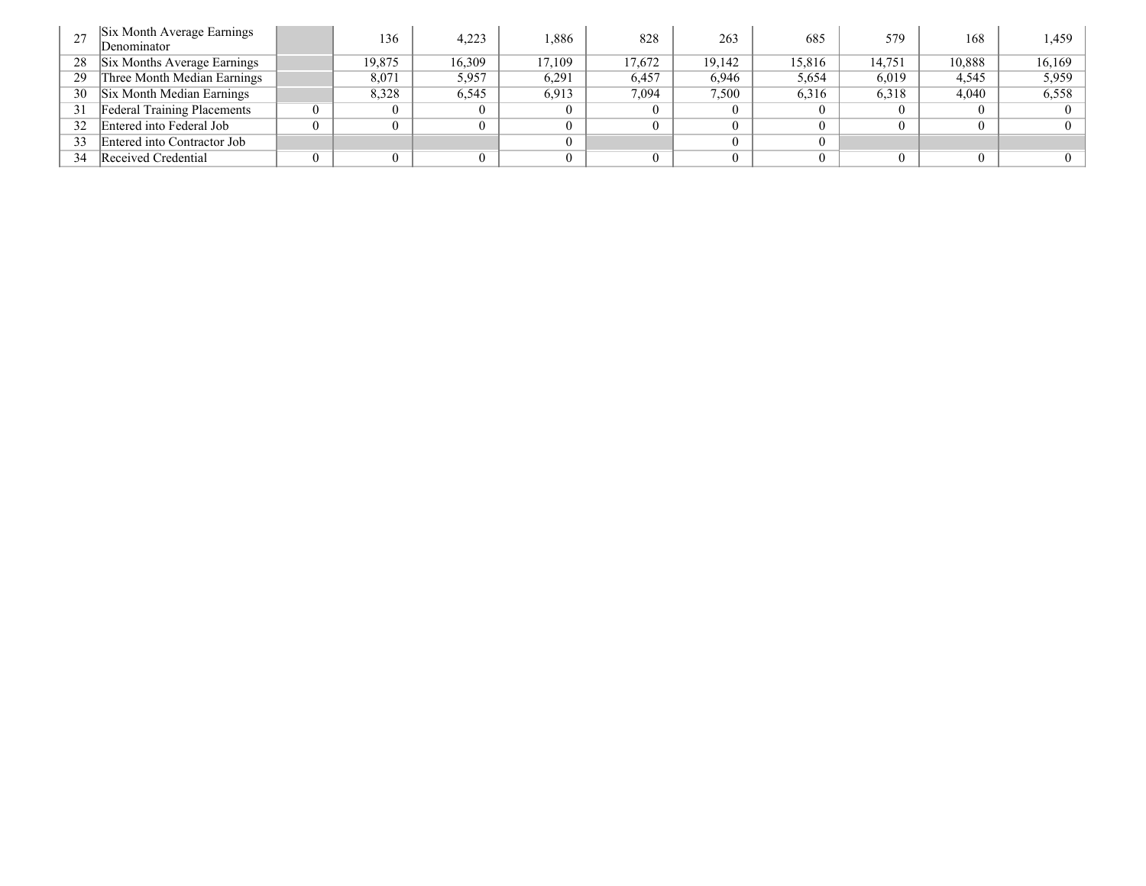|    | Six Month Average Earnings<br>Denominator | 136      | 4,223  | .886   | 828    | 263    | 685    | 579    | 168    | 1.459  |
|----|-------------------------------------------|----------|--------|--------|--------|--------|--------|--------|--------|--------|
| 28 | Six Months Average Earnings               | 19,875   | 16,309 | 17.109 | 17,672 | 19,142 | 15,816 | 14.751 | 10,888 | 16,169 |
| 29 | Three Month Median Earnings               | 8,071    | 5,957  | 6,291  | 6,457  | 6,946  | 5,654  | 6,019  | 4,545  | 5,959  |
| 30 | Six Month Median Earnings                 | 8,328    | 6,545  | 6.913  | 7,094  | 7,500  | 6,316  | 6,318  | 4,040  | 6,558  |
| 31 | <b>Federal Training Placements</b>        | $\theta$ |        |        |        |        |        |        |        |        |
| 32 | Entered into Federal Job                  |          |        |        |        |        |        |        |        |        |
| 33 | Entered into Contractor Job               |          |        |        |        |        |        |        |        |        |
| 34 | Received Credential                       |          |        |        |        |        |        |        |        |        |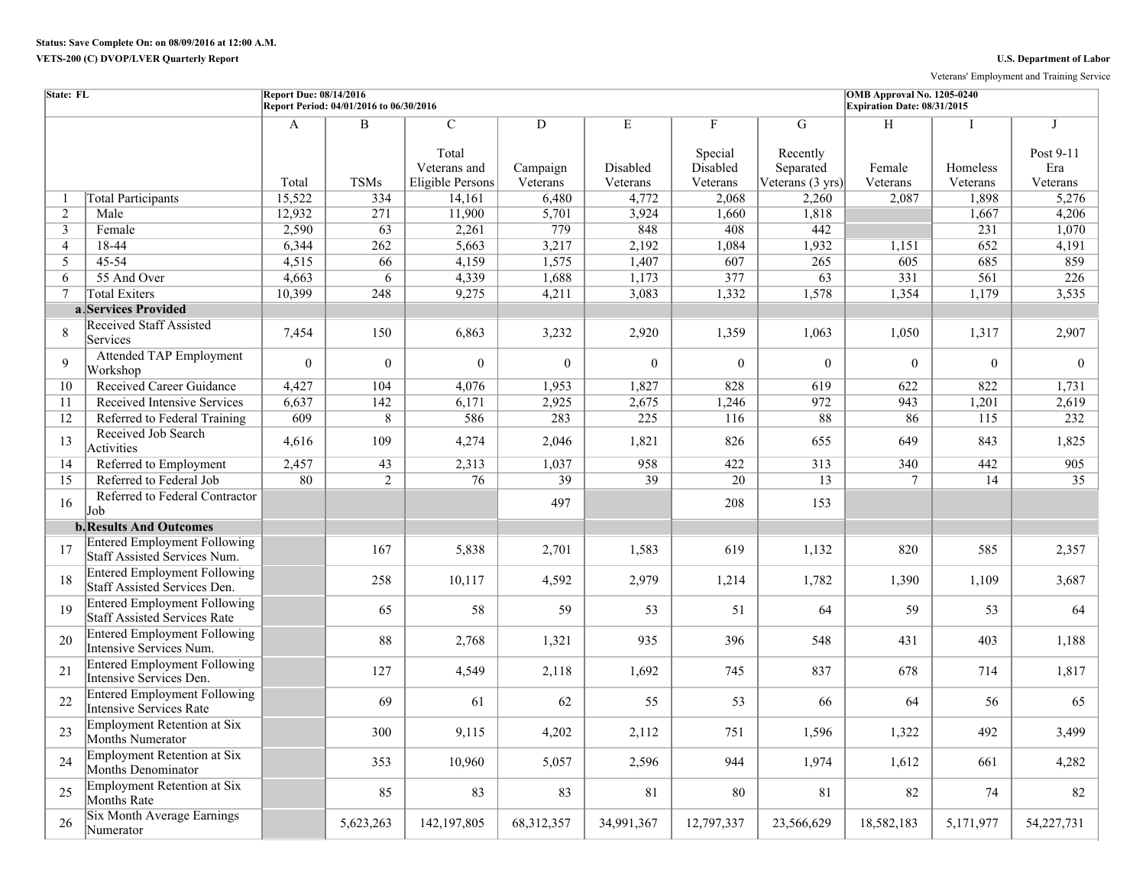Veterans' Employment and Training Service

| State: FL      |                                                                     | <b>Report Due: 08/14/2016</b> | Report Period: 04/01/2016 to 06/30/2016 |                                                                   |                           |                           |                                      |                                                | OMB Approval No. 1205-0240<br>Expiration Date: 08/31/2015 |                                     |                                             |
|----------------|---------------------------------------------------------------------|-------------------------------|-----------------------------------------|-------------------------------------------------------------------|---------------------------|---------------------------|--------------------------------------|------------------------------------------------|-----------------------------------------------------------|-------------------------------------|---------------------------------------------|
|                |                                                                     | A<br>Total                    | $\overline{\mathbf{B}}$<br><b>TSMs</b>  | $\mathcal{C}$<br>Total<br>Veterans and<br><b>Eligible Persons</b> | D<br>Campaign<br>Veterans | Е<br>Disabled<br>Veterans | F<br>Special<br>Disabled<br>Veterans | G<br>Recently<br>Separated<br>Veterans (3 yrs) | H<br>Female<br>Veterans                                   | $\mathbf I$<br>Homeless<br>Veterans | $\mathbf I$<br>Post 9-11<br>Era<br>Veterans |
| $\overline{1}$ | <b>Total Participants</b>                                           | 15,522                        | 334                                     | 14,161                                                            | 6,480                     | 4,772                     | 2,068                                | 2,260                                          | 2.087                                                     | 1,898                               | 5,276                                       |
| 2              | Male                                                                | 12,932                        | 271                                     | 11,900                                                            | 5,701                     | 3,924                     | 1,660                                | 1,818                                          |                                                           | 1,667                               | 4,206                                       |
| $\mathfrak{Z}$ | Female                                                              | 2,590                         | 63                                      | 2,261                                                             | 779                       | 848                       | 408                                  | 442                                            |                                                           | 231                                 | 1,070                                       |
| $\overline{4}$ | $18-44$                                                             | 6,344                         | 262                                     | 5,663                                                             | 3,217                     | 2,192                     | 1,084                                | 1,932                                          | 1,151                                                     | 652                                 | 4,191                                       |
| 5              | 45-54                                                               | 4,515                         | 66                                      | 4,159                                                             | 1,575                     | 1,407                     | 607                                  | 265                                            | 605                                                       | 685                                 | 859                                         |
| 6              | 55 And Over                                                         | 4,663                         | 6                                       | 4,339                                                             | 1,688                     | 1,173                     | 377                                  | $\overline{63}$                                | $\overline{331}$                                          | 561                                 | 226                                         |
| $\tau$         | <b>Total Exiters</b>                                                | 10,399                        | 248                                     | 9,275                                                             | 4,211                     | 3,083                     | 1,332                                | 1,578                                          | 1,354                                                     | 1,179                               | 3,535                                       |
|                | a Services Provided                                                 |                               |                                         |                                                                   |                           |                           |                                      |                                                |                                                           |                                     |                                             |
| 8              | <b>Received Staff Assisted</b><br>Services                          | 7,454                         | 150                                     | 6,863                                                             | 3,232                     | 2,920                     | 1,359                                | 1,063                                          | 1,050                                                     | 1,317                               | 2,907                                       |
| $\mathbf{Q}$   | <b>Attended TAP Employment</b><br>Workshop                          | $\theta$                      | $\mathbf{0}$                            | $\theta$                                                          | $\mathbf{0}$              | $\overline{0}$            | $\overline{0}$                       | $\theta$                                       | $\theta$                                                  | $\overline{0}$                      | $\theta$                                    |
| 10             | Received Career Guidance                                            | 4,427                         | 104                                     | 4,076                                                             | 1,953                     | 1,827                     | 828                                  | 619                                            | 622                                                       | 822                                 | 1.731                                       |
| 11             | Received Intensive Services                                         | 6,637                         | 142                                     | 6,171                                                             | 2,925                     | 2,675                     | 1,246                                | 972                                            | 943                                                       | 1,201                               | 2,619                                       |
| 12             | Referred to Federal Training                                        | 609                           | 8                                       | 586                                                               | 283                       | $\overline{225}$          | 116                                  | 88                                             | 86                                                        | 115                                 | 232                                         |
| 13             | Received Job Search<br>Activities                                   | 4,616                         | 109                                     | 4,274                                                             | 2,046                     | 1,821                     | 826                                  | 655                                            | 649                                                       | 843                                 | 1,825                                       |
| 14             | Referred to Employment                                              | 2,457                         | 43                                      | 2,313                                                             | 1,037                     | 958                       | 422                                  | 313                                            | 340                                                       | 442                                 | 905                                         |
| 15             | Referred to Federal Job                                             | 80                            | $\overline{2}$                          | 76                                                                | 39                        | 39                        | 20                                   | 13                                             | $\tau$                                                    | 14                                  | 35                                          |
| 16             | Referred to Federal Contractor<br>Job                               |                               |                                         |                                                                   | 497                       |                           | 208                                  | 153                                            |                                                           |                                     |                                             |
|                | <b>b. Results And Outcomes</b>                                      |                               |                                         |                                                                   |                           |                           |                                      |                                                |                                                           |                                     |                                             |
| 17             | <b>Entered Employment Following</b><br>Staff Assisted Services Num. |                               | 167                                     | 5,838                                                             | 2,701                     | 1,583                     | 619                                  | 1,132                                          | 820                                                       | 585                                 | 2,357                                       |
| 18             | <b>Entered Employment Following</b><br>Staff Assisted Services Den. |                               | 258                                     | 10,117                                                            | 4,592                     | 2,979                     | 1,214                                | 1,782                                          | 1,390                                                     | 1,109                               | 3,687                                       |
| 19             | <b>Entered Employment Following</b><br>Staff Assisted Services Rate |                               | 65                                      | 58                                                                | 59                        | 53                        | 51                                   | 64                                             | 59                                                        | 53                                  | 64                                          |
| 20             | <b>Entered Employment Following</b><br>Intensive Services Num.      |                               | 88                                      | 2,768                                                             | 1,321                     | 935                       | 396                                  | 548                                            | 431                                                       | 403                                 | 1,188                                       |
| 21             | <b>Entered Employment Following</b><br>Intensive Services Den.      |                               | 127                                     | 4,549                                                             | 2,118                     | 1,692                     | 745                                  | 837                                            | 678                                                       | 714                                 | 1,817                                       |
| 22             | <b>Entered Employment Following</b><br>Intensive Services Rate      |                               | 69                                      | 61                                                                | 62                        | 55                        | 53                                   | 66                                             | 64                                                        | 56                                  | 65                                          |
| 23             | Employment Retention at Six<br>Months Numerator                     |                               | 300                                     | 9,115                                                             | 4,202                     | 2,112                     | 751                                  | 1,596                                          | 1,322                                                     | 492                                 | 3,499                                       |
| 24             | <b>Employment Retention at Six</b><br>Months Denominator            |                               | 353                                     | 10,960                                                            | 5,057                     | 2,596                     | 944                                  | 1,974                                          | 1,612                                                     | 661                                 | 4,282                                       |
| 25             | <b>Employment Retention at Six</b><br>Months Rate                   |                               | 85                                      | 83                                                                | 83                        | 81                        | 80                                   | 81                                             | 82                                                        | 74                                  | 82                                          |
| 26             | Six Month Average Earnings<br>Numerator                             |                               | 5,623,263                               | 142,197,805                                                       | 68, 312, 357              | 34,991,367                | 12,797,337                           | 23,566,629                                     | 18,582,183                                                | 5,171,977                           | 54,227,731                                  |